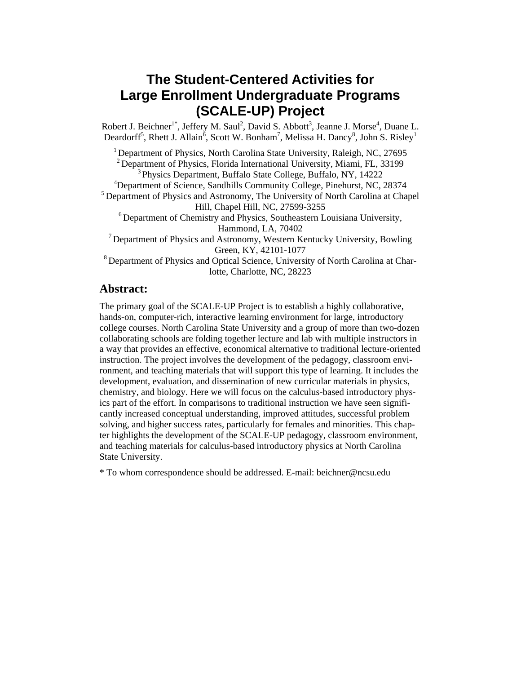# **The Student-Centered Activities for Large Enrollment Undergraduate Programs (SCALE-UP) Project**

Robert J. Beichner<sup>1\*</sup>, Jeffery M. Saul<sup>2</sup>, David S. Abbott<sup>3</sup>, Jeanne J. Morse<sup>4</sup>, Duane L. Deardorff<sup>5</sup>, Rhett J. Allain<sup>6</sup>, Scott W. Bonham<sup>7</sup>, Melissa H. Dancy<sup>8</sup>, John S. Risley<sup>1</sup>

<sup>1</sup> Department of Physics, North Carolina State University, Raleigh, NC, 27695 <sup>2</sup> Department of Physics, Florida International University, Miami, FL, 33199  $3$  Physics Department, Buffalo State College, Buffalo, NY, 14222 <sup>4</sup>Department of Science, Sandhills Community College, Pinehurst, NC, 28374 <sup>5</sup> Department of Physics and Astronomy, The University of North Carolina at Chapel Hill, Chapel Hill, NC, 27599-3255 6 Department of Chemistry and Physics, Southeastern Louisiana University, Hammond, LA, 70402 7 Department of Physics and Astronomy, Western Kentucky University, Bowling Green, KY, 42101-1077 <sup>8</sup> Department of Physics and Optical Science, University of North Carolina at Charlotte, Charlotte, NC, 28223

# **Abstract:**

The primary goal of the SCALE-UP Project is to establish a highly collaborative, hands-on, computer-rich, interactive learning environment for large, introductory college courses. North Carolina State University and a group of more than two-dozen collaborating schools are folding together lecture and lab with multiple instructors in a way that provides an effective, economical alternative to traditional lecture-oriented instruction. The project involves the development of the pedagogy, classroom environment, and teaching materials that will support this type of learning. It includes the development, evaluation, and dissemination of new curricular materials in physics, chemistry, and biology. Here we will focus on the calculus-based introductory physics part of the effort. In comparisons to traditional instruction we have seen significantly increased conceptual understanding, improved attitudes, successful problem solving, and higher success rates, particularly for females and minorities. This chapter highlights the development of the SCALE-UP pedagogy, classroom environment, and teaching materials for calculus-based introductory physics at North Carolina State University.

\* To whom correspondence should be addressed. E-mail: beichner@ncsu.edu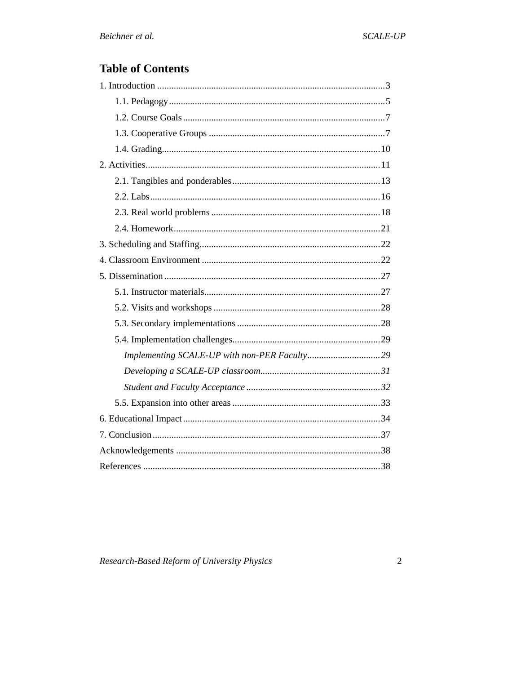# **Table of Contents**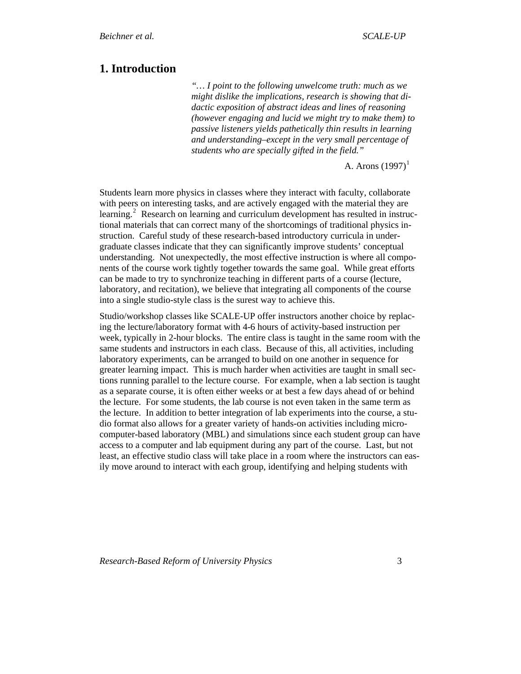# <span id="page-2-0"></span>**1. Introduction**

*"… I point to the following unwelcome truth: much as we might dislike the implications, research is showing that didactic exposition of abstract ideas and lines of reasoning (however engaging and lucid we might try to make them) to passive listeners yields pathetically thin results in learning and understanding–except in the very small percentage of students who are specially gifted in the field."*

A. Arons  $(1997)^1$  $(1997)^1$  $(1997)^1$ 

Students learn more physics in classes where they interact with faculty, collaborate with peers on interesting tasks, and are actively engaged with the material they are learning.<sup>[2](#page-41-1)</sup> Research on learning and curriculum development has resulted in instructional materials that can correct many of the shortcomings of traditional physics instruction. Careful study of these research-based introductory curricula in undergraduate classes indicate that they can significantly improve students' conceptual understanding. Not unexpectedly, the most effective instruction is where all components of the course work tightly together towards the same goal. While great efforts can be made to try to synchronize teaching in different parts of a course (lecture, laboratory, and recitation), we believe that integrating all components of the course into a single studio-style class is the surest way to achieve this.

Studio/workshop classes like SCALE-UP offer instructors another choice by replacing the lecture/laboratory format with 4-6 hours of activity-based instruction per week, typically in 2-hour blocks. The entire class is taught in the same room with the same students and instructors in each class. Because of this, all activities, including laboratory experiments, can be arranged to build on one another in sequence for greater learning impact. This is much harder when activities are taught in small sections running parallel to the lecture course. For example, when a lab section is taught as a separate course, it is often either weeks or at best a few days ahead of or behind the lecture. For some students, the lab course is not even taken in the same term as the lecture. In addition to better integration of lab experiments into the course, a studio format also allows for a greater variety of hands-on activities including microcomputer-based laboratory (MBL) and simulations since each student group can have access to a computer and lab equipment during any part of the course. Last, but not least, an effective studio class will take place in a room where the instructors can easily move around to interact with each group, identifying and helping students with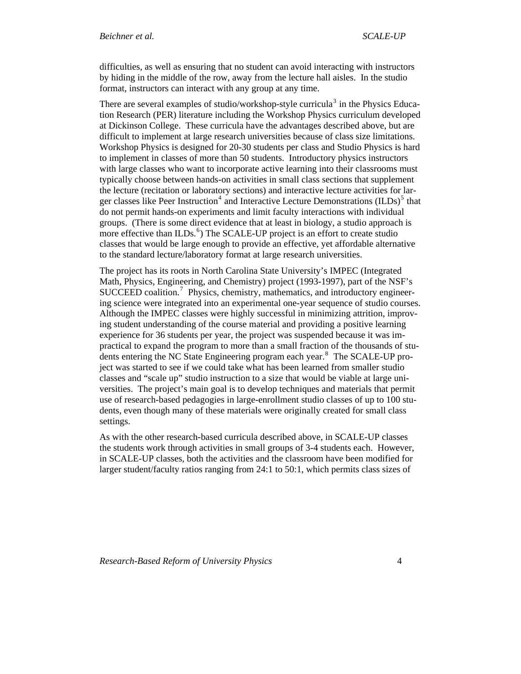difficulties, as well as ensuring that no student can avoid interacting with instructors by hiding in the middle of the row, away from the lecture hall aisles. In the studio format, instructors can interact with any group at any time.

There are several examples of studio/workshop-style curricula<sup>[3](#page-41-1)</sup> in the Physics Education Research (PER) literature including the Workshop Physics curriculum developed at Dickinson College. These curricula have the advantages described above, but are difficult to implement at large research universities because of class size limitations. Workshop Physics is designed for 20-30 students per class and Studio Physics is hard to implement in classes of more than 50 students. Introductory physics instructors with large classes who want to incorporate active learning into their classrooms must typically choose between hands-on activities in small class sections that supplement the lecture (recitation or laboratory sections) and interactive lecture activities for lar-ger classes like Peer Instruction<sup>[4](#page-41-1)</sup> and Interactive Lecture Demonstrations  ${{(ILDs)}^5}$  ${{(ILDs)}^5}$  ${{(ILDs)}^5}$  that do not permit hands-on experiments and limit faculty interactions with individual groups. (There is some direct evidence that at least in biology, a studio approach is more effective than ILDs.<sup>[6](#page-41-1)</sup>) The SCALE-UP project is an effort to create studio classes that would be large enough to provide an effective, yet affordable alternative to the standard lecture/laboratory format at large research universities.

The project has its roots in North Carolina State University's IMPEC (Integrated Math, Physics, Engineering, and Chemistry) project (1993-1997), part of the NSF's SUCCEED coalition.<sup>[7](#page-41-1)</sup> Physics, chemistry, mathematics, and introductory engineering science were integrated into an experimental one-year sequence of studio courses. Although the IMPEC classes were highly successful in minimizing attrition, improving student understanding of the course material and providing a positive learning experience for 36 students per year, the project was suspended because it was impractical to expand the program to more than a small fraction of the thousands of stu-dents entering the NC State Engineering program each year.<sup>[8](#page-41-1)</sup> The SCALE-UP project was started to see if we could take what has been learned from smaller studio classes and "scale up" studio instruction to a size that would be viable at large universities. The project's main goal is to develop techniques and materials that permit use of research-based pedagogies in large-enrollment studio classes of up to 100 students, even though many of these materials were originally created for small class settings.

As with the other research-based curricula described above, in SCALE-UP classes the students work through activities in small groups of 3-4 students each. However, in SCALE-UP classes, both the activities and the classroom have been modified for larger student/faculty ratios ranging from 24:1 to 50:1, which permits class sizes of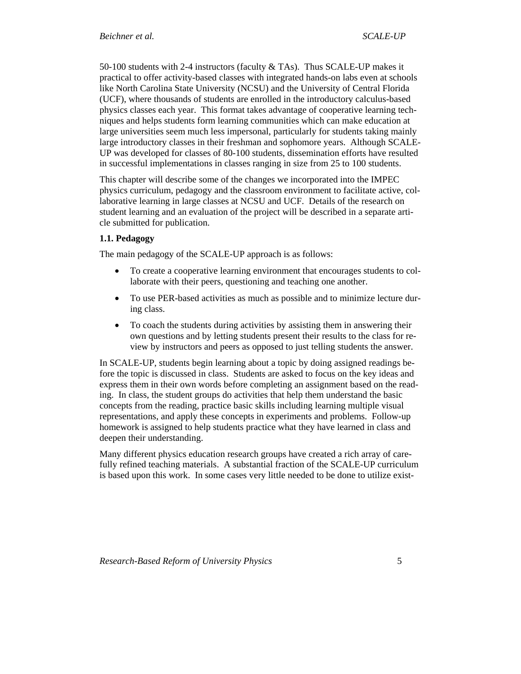<span id="page-4-0"></span>50-100 students with 2-4 instructors (faculty & TAs). Thus SCALE-UP makes it practical to offer activity-based classes with integrated hands-on labs even at schools like North Carolina State University (NCSU) and the University of Central Florida (UCF), where thousands of students are enrolled in the introductory calculus-based physics classes each year. This format takes advantage of cooperative learning techniques and helps students form learning communities which can make education at large universities seem much less impersonal, particularly for students taking mainly large introductory classes in their freshman and sophomore years. Although SCALE-UP was developed for classes of 80-100 students, dissemination efforts have resulted in successful implementations in classes ranging in size from 25 to 100 students.

This chapter will describe some of the changes we incorporated into the IMPEC physics curriculum, pedagogy and the classroom environment to facilitate active, collaborative learning in large classes at NCSU and UCF. Details of the research on student learning and an evaluation of the project will be described in a separate article submitted for publication.

## **1.1. Pedagogy**

The main pedagogy of the SCALE-UP approach is as follows:

- To create a cooperative learning environment that encourages students to collaborate with their peers, questioning and teaching one another.
- To use PER-based activities as much as possible and to minimize lecture during class.
- To coach the students during activities by assisting them in answering their own questions and by letting students present their results to the class for review by instructors and peers as opposed to just telling students the answer.

In SCALE-UP, students begin learning about a topic by doing assigned readings before the topic is discussed in class. Students are asked to focus on the key ideas and express them in their own words before completing an assignment based on the reading. In class, the student groups do activities that help them understand the basic concepts from the reading, practice basic skills including learning multiple visual representations, and apply these concepts in experiments and problems. Follow-up homework is assigned to help students practice what they have learned in class and deepen their understanding.

Many different physics education research groups have created a rich array of carefully refined teaching materials. A substantial fraction of the SCALE-UP curriculum is based upon this work. In some cases very little needed to be done to utilize exist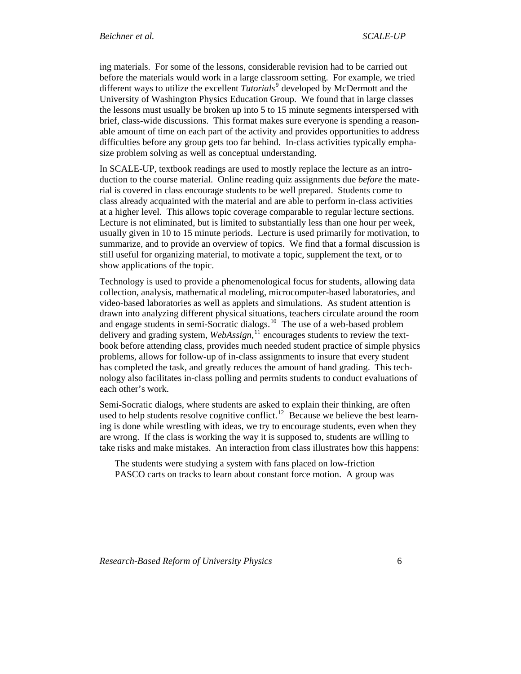ing materials. For some of the lessons, considerable revision had to be carried out before the materials would work in a large classroom setting. For example, we tried different ways to utilize the excellent *Tutorials*<sup>[9](#page-41-1)</sup> developed by McDermott and the University of Washington Physics Education Group. We found that in large classes the lessons must usually be broken up into 5 to 15 minute segments interspersed with brief, class-wide discussions. This format makes sure everyone is spending a reasonable amount of time on each part of the activity and provides opportunities to address difficulties before any group gets too far behind. In-class activities typically emphasize problem solving as well as conceptual understanding.

In SCALE-UP, textbook readings are used to mostly replace the lecture as an introduction to the course material. Online reading quiz assignments due *before* the material is covered in class encourage students to be well prepared. Students come to class already acquainted with the material and are able to perform in-class activities at a higher level. This allows topic coverage comparable to regular lecture sections. Lecture is not eliminated, but is limited to substantially less than one hour per week, usually given in 10 to 15 minute periods. Lecture is used primarily for motivation, to summarize, and to provide an overview of topics. We find that a formal discussion is still useful for organizing material, to motivate a topic, supplement the text, or to show applications of the topic.

Technology is used to provide a phenomenological focus for students, allowing data collection, analysis, mathematical modeling, microcomputer-based laboratories, and video-based laboratories as well as applets and simulations. As student attention is drawn into analyzing different physical situations, teachers circulate around the room and engage students in semi-Socratic dialogs.<sup>[10](#page-41-1)</sup> The use of a web-based problem delivery and grading system, *WebAssign,*[11](#page-41-1) encourages students to review the textbook before attending class, provides much needed student practice of simple physics problems, allows for follow-up of in-class assignments to insure that every student has completed the task, and greatly reduces the amount of hand grading. This technology also facilitates in-class polling and permits students to conduct evaluations of each other's work.

Semi-Socratic dialogs, where students are asked to explain their thinking, are often used to help students resolve cognitive conflict.<sup>[12](#page-41-1)</sup> Because we believe the best learning is done while wrestling with ideas, we try to encourage students, even when they are wrong. If the class is working the way it is supposed to, students are willing to take risks and make mistakes. An interaction from class illustrates how this happens:

The students were studying a system with fans placed on low-friction PASCO carts on tracks to learn about constant force motion. A group was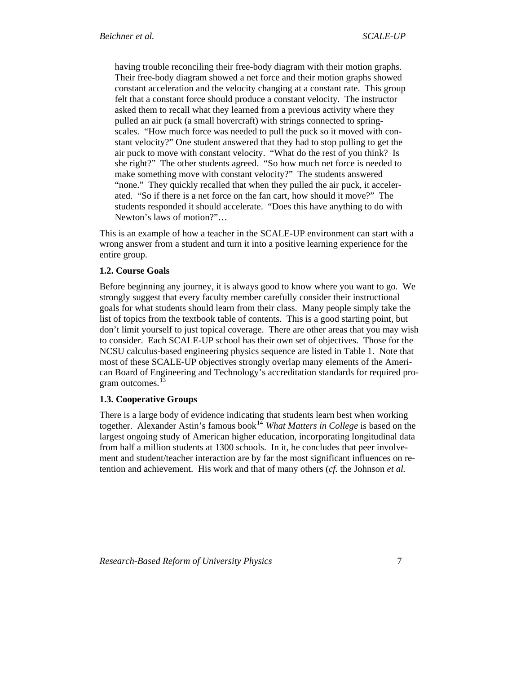<span id="page-6-0"></span>having trouble reconciling their free-body diagram with their motion graphs. Their free-body diagram showed a net force and their motion graphs showed constant acceleration and the velocity changing at a constant rate. This group felt that a constant force should produce a constant velocity. The instructor asked them to recall what they learned from a previous activity where they pulled an air puck (a small hovercraft) with strings connected to springscales. "How much force was needed to pull the puck so it moved with constant velocity?" One student answered that they had to stop pulling to get the air puck to move with constant velocity. "What do the rest of you think? Is she right?" The other students agreed. "So how much net force is needed to make something move with constant velocity?" The students answered "none." They quickly recalled that when they pulled the air puck, it accelerated. "So if there is a net force on the fan cart, how should it move?" The students responded it should accelerate. "Does this have anything to do with Newton's laws of motion?"…

This is an example of how a teacher in the SCALE-UP environment can start with a wrong answer from a student and turn it into a positive learning experience for the entire group.

## **1.2. Course Goals**

Before beginning any journey, it is always good to know where you want to go. We strongly suggest that every faculty member carefully consider their instructional goals for what students should learn from their class. Many people simply take the list of topics from the textbook table of contents. This is a good starting point, but don't limit yourself to just topical coverage. There are other areas that you may wish to consider. Each SCALE-UP school has their own set of objectives. Those for the NCSU calculus-based engineering physics sequence are listed in Table 1. Note that most of these SCALE-UP objectives strongly overlap many elements of the American Board of Engineering and Technology's accreditation standards for required pro-gram outcomes.<sup>[13](#page-41-1)</sup>

#### **1.3. Cooperative Groups**

There is a large body of evidence indicating that students learn best when working together. Alexander Astin's famous book<sup>[14](#page-41-1)</sup> *What Matters in College* is based on the largest ongoing study of American higher education, incorporating longitudinal data from half a million students at 1300 schools. In it, he concludes that peer involvement and student/teacher interaction are by far the most significant influences on retention and achievement. His work and that of many others (*cf.* the Johnson *et al.*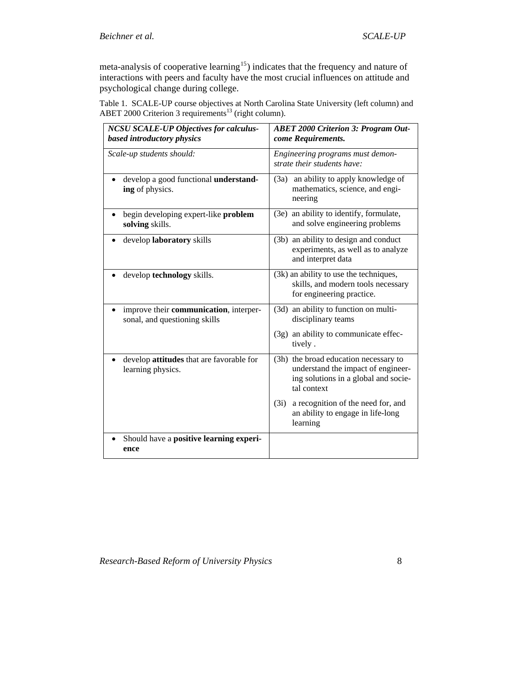meta-analysis of cooperative learning<sup>[15](#page-41-1)</sup>) indicates that the frequency and nature of interactions with peers and faculty have the most crucial influences on attitude and psychological change during college.

Table 1. SCALE-UP course objectives at North Carolina State University (left column) and ABET 2000 Criterion 3 requirements<sup>13</sup> (right column).

| <b>NCSU SCALE-UP Objectives for calculus-</b><br>based introductory physics | <b>ABET 2000 Criterion 3: Program Out-</b><br>come Requirements.                                                                   |  |  |  |
|-----------------------------------------------------------------------------|------------------------------------------------------------------------------------------------------------------------------------|--|--|--|
| Scale-up students should:                                                   | Engineering programs must demon-<br>strate their students have:                                                                    |  |  |  |
| develop a good functional understand-<br>ing of physics.                    | an ability to apply knowledge of<br>(3a)<br>mathematics, science, and engi-<br>neering                                             |  |  |  |
| begin developing expert-like problem<br>solving skills.                     | (3e) an ability to identify, formulate,<br>and solve engineering problems                                                          |  |  |  |
| develop laboratory skills                                                   | (3b) an ability to design and conduct<br>experiments, as well as to analyze<br>and interpret data                                  |  |  |  |
| develop technology skills.                                                  | (3k) an ability to use the techniques,<br>skills, and modern tools necessary<br>for engineering practice.                          |  |  |  |
| improve their communication, interper-<br>sonal, and questioning skills     | (3d) an ability to function on multi-<br>disciplinary teams                                                                        |  |  |  |
|                                                                             | (3g) an ability to communicate effec-<br>tively.                                                                                   |  |  |  |
| develop attitudes that are favorable for<br>learning physics.               | (3h) the broad education necessary to<br>understand the impact of engineer-<br>ing solutions in a global and socie-<br>tal context |  |  |  |
|                                                                             | (3i)<br>a recognition of the need for, and<br>an ability to engage in life-long<br>learning                                        |  |  |  |
| Should have a positive learning experi-<br>ence                             |                                                                                                                                    |  |  |  |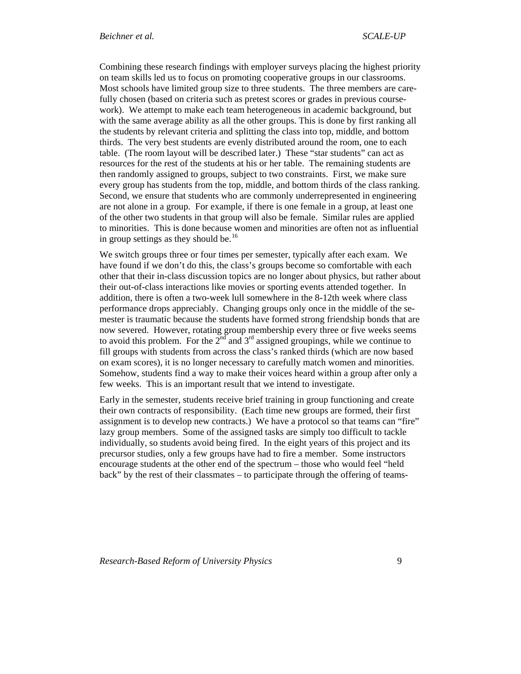Combining these research findings with employer surveys placing the highest priority on team skills led us to focus on promoting cooperative groups in our classrooms. Most schools have limited group size to three students. The three members are carefully chosen (based on criteria such as pretest scores or grades in previous coursework). We attempt to make each team heterogeneous in academic background, but with the same average ability as all the other groups. This is done by first ranking all the students by relevant criteria and splitting the class into top, middle, and bottom thirds. The very best students are evenly distributed around the room, one to each table. (The room layout will be described later.) These "star students" can act as resources for the rest of the students at his or her table. The remaining students are then randomly assigned to groups, subject to two constraints. First, we make sure every group has students from the top, middle, and bottom thirds of the class ranking. Second, we ensure that students who are commonly underrepresented in engineering are not alone in a group. For example, if there is one female in a group, at least one of the other two students in that group will also be female. Similar rules are applied to minorities. This is done because women and minorities are often not as influential in group settings as they should be. $16$ 

We switch groups three or four times per semester, typically after each exam. We have found if we don't do this, the class's groups become so comfortable with each other that their in-class discussion topics are no longer about physics, but rather about their out-of-class interactions like movies or sporting events attended together. In addition, there is often a two-week lull somewhere in the 8-12th week where class performance drops appreciably. Changing groups only once in the middle of the semester is traumatic because the students have formed strong friendship bonds that are now severed. However, rotating group membership every three or five weeks seems to avoid this problem. For the  $2^{nd}$  and  $3^{rd}$  assigned groupings, while we continue to fill groups with students from across the class's ranked thirds (which are now based on exam scores), it is no longer necessary to carefully match women and minorities. Somehow, students find a way to make their voices heard within a group after only a few weeks. This is an important result that we intend to investigate.

Early in the semester, students receive brief training in group functioning and create their own contracts of responsibility. (Each time new groups are formed, their first assignment is to develop new contracts.) We have a protocol so that teams can "fire" lazy group members. Some of the assigned tasks are simply too difficult to tackle individually, so students avoid being fired. In the eight years of this project and its precursor studies, only a few groups have had to fire a member. Some instructors encourage students at the other end of the spectrum – those who would feel "held back" by the rest of their classmates – to participate through the offering of teams-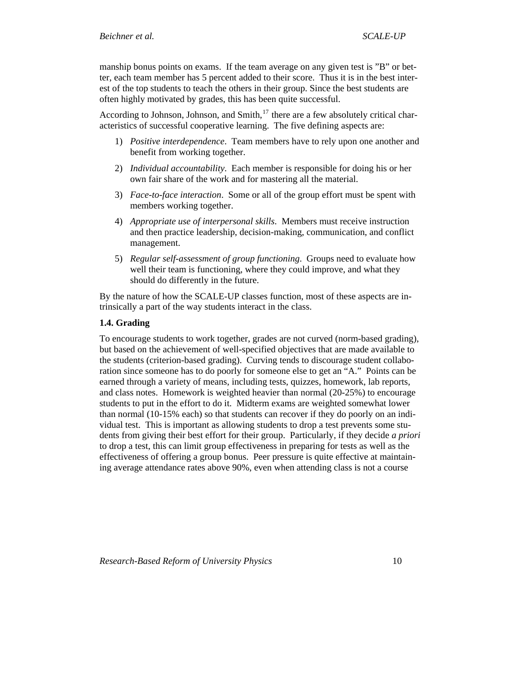<span id="page-9-0"></span>manship bonus points on exams. If the team average on any given test is "B" or better, each team member has 5 percent added to their score. Thus it is in the best interest of the top students to teach the others in their group. Since the best students are often highly motivated by grades, this has been quite successful.

According to Johnson, Johnson, and Smith, $17$  there are a few absolutely critical characteristics of successful cooperative learning. The five defining aspects are:

- 1) *Positive interdependence*. Team members have to rely upon one another and benefit from working together.
- 2) *Individual accountability*. Each member is responsible for doing his or her own fair share of the work and for mastering all the material.
- 3) *Face-to-face interaction*. Some or all of the group effort must be spent with members working together.
- 4) *Appropriate use of interpersonal skills*. Members must receive instruction and then practice leadership, decision-making, communication, and conflict management.
- 5) *Regular self-assessment of group functioning*. Groups need to evaluate how well their team is functioning, where they could improve, and what they should do differently in the future.

By the nature of how the SCALE-UP classes function, most of these aspects are intrinsically a part of the way students interact in the class.

### **1.4. Grading**

To encourage students to work together, grades are not curved (norm-based grading), but based on the achievement of well-specified objectives that are made available to the students (criterion-based grading). Curving tends to discourage student collaboration since someone has to do poorly for someone else to get an "A." Points can be earned through a variety of means, including tests, quizzes, homework, lab reports, and class notes. Homework is weighted heavier than normal (20-25%) to encourage students to put in the effort to do it. Midterm exams are weighted somewhat lower than normal (10-15% each) so that students can recover if they do poorly on an individual test. This is important as allowing students to drop a test prevents some students from giving their best effort for their group. Particularly, if they decide *a priori* to drop a test, this can limit group effectiveness in preparing for tests as well as the effectiveness of offering a group bonus. Peer pressure is quite effective at maintaining average attendance rates above 90%, even when attending class is not a course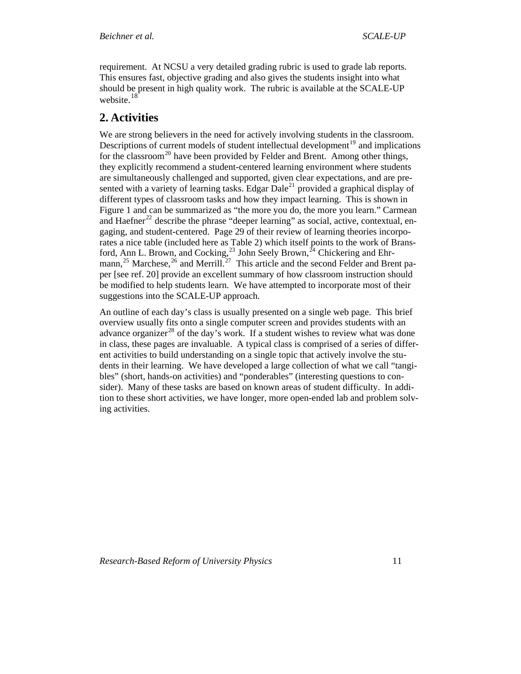<span id="page-10-0"></span>requirement. At NCSU a very detailed grading rubric is used to grade lab reports. This ensures fast, objective grading and also gives the students insight into what should be present in high quality work. The rubric is available at the SCALE-UP website.<sup>[18](#page-41-1)</sup>

# **2. Activities**

We are strong believers in the need for actively involving students in the classroom. Descriptions of current models of student intellectual development<sup>[19](#page-41-1)</sup> and implications for the classroom<sup>[20](#page-41-1)</sup> have been provided by Felder and Brent. Among other things, they explicitly recommend a student-centered learning environment where students are simultaneously challenged and supported, given clear expectations, and are presented with a variety of learning tasks. Edgar  $Dale^{21}$  $Dale^{21}$  $Dale^{21}$  provided a graphical display of different types of classroom tasks and how they impact learning. This is shown in Figure 1 and can be summarized as "the more you do, the more you learn." Carmean and Haefner<sup>[22](#page-41-1)</sup> describe the phrase "deeper learning" as social, active, contextual, engaging, and student-centered. Page 29 of their review of learning theories incorporates a nice table (included here as Table 2) which itself points to the work of Bransford, Ann L. Brown, and Cocking,  $^{23}$  $^{23}$  $^{23}$  John Seely Brown,  $^{24}$  $^{24}$  $^{24}$  Chickering and Ehr-mann,<sup>[25](#page-41-1)</sup> Marchese,<sup>[26](#page-41-1)</sup> and Merrill.<sup>[27](#page-41-1)</sup> This article and the second Felder and Brent paper [see ref. 20] provide an excellent summary of how classroom instruction should be modified to help students learn. We have attempted to incorporate most of their suggestions into the SCALE-UP approach.

An outline of each day's class is usually presented on a single web page. This brief overview usually fits onto a single computer screen and provides students with an advance organizer<sup>[28](#page-41-1)</sup> of the day's work. If a student wishes to review what was done in class, these pages are invaluable. A typical class is comprised of a series of different activities to build understanding on a single topic that actively involve the students in their learning. We have developed a large collection of what we call "tangibles" (short, hands-on activities) and "ponderables" (interesting questions to consider). Many of these tasks are based on known areas of student difficulty. In addition to these short activities, we have longer, more open-ended lab and problem solving activities.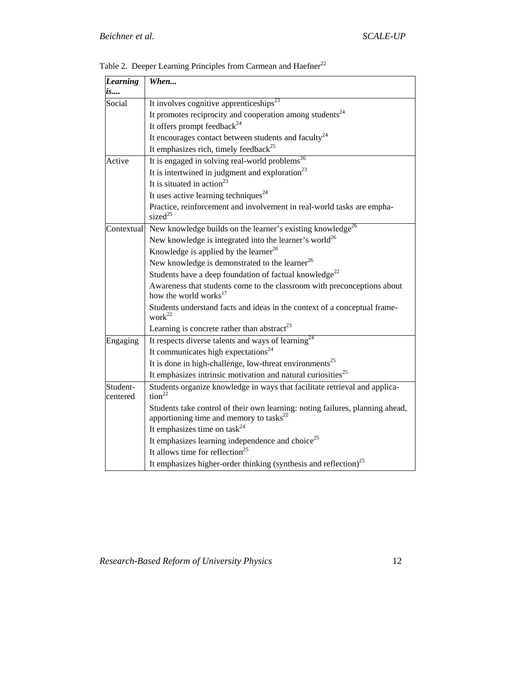| <b>Learning</b><br><i>is</i> | When                                                                                                                           |  |  |  |  |
|------------------------------|--------------------------------------------------------------------------------------------------------------------------------|--|--|--|--|
| Social                       | It involves cognitive apprenticeships <sup>23</sup>                                                                            |  |  |  |  |
|                              | It promotes reciprocity and cooperation among students <sup>24</sup>                                                           |  |  |  |  |
|                              | It offers prompt feedback <sup>24</sup>                                                                                        |  |  |  |  |
|                              | It encourages contact between students and faculty <sup>24</sup>                                                               |  |  |  |  |
|                              | It emphasizes rich, timely feedback <sup>25</sup>                                                                              |  |  |  |  |
| Active                       | It is engaged in solving real-world problems <sup>26</sup>                                                                     |  |  |  |  |
|                              | It is intertwined in judgment and exploration <sup>23</sup>                                                                    |  |  |  |  |
|                              | It is situated in action <sup>23</sup>                                                                                         |  |  |  |  |
|                              | It uses active learning techniques <sup>24</sup>                                                                               |  |  |  |  |
|                              | Practice, reinforcement and involvement in real-world tasks are empha-<br>sized <sup>25</sup>                                  |  |  |  |  |
| Contextual                   | New knowledge builds on the learner's existing knowledge <sup>26</sup>                                                         |  |  |  |  |
|                              | New knowledge is integrated into the learner's world <sup>26</sup>                                                             |  |  |  |  |
|                              | Knowledge is applied by the learner <sup>26</sup>                                                                              |  |  |  |  |
|                              | New knowledge is demonstrated to the learner <sup>26</sup>                                                                     |  |  |  |  |
|                              | Students have a deep foundation of factual knowledge <sup>22</sup>                                                             |  |  |  |  |
|                              | Awareness that students come to the classroom with preconceptions about<br>how the world works <sup>17</sup>                   |  |  |  |  |
|                              | Students understand facts and ideas in the context of a conceptual frame-<br>work $22$                                         |  |  |  |  |
|                              | Learning is concrete rather than abstract <sup>23</sup>                                                                        |  |  |  |  |
| Engaging                     | It respects diverse talents and ways of learning <sup>24</sup>                                                                 |  |  |  |  |
|                              | It communicates high expectations <sup>24</sup>                                                                                |  |  |  |  |
|                              | It is done in high-challenge, low-threat environments <sup>25</sup>                                                            |  |  |  |  |
|                              | It emphasizes intrinsic motivation and natural curiosities <sup>25</sup>                                                       |  |  |  |  |
| Student-<br>centered         | Students organize knowledge in ways that facilitate retrieval and applica-<br>tion <sup>22</sup>                               |  |  |  |  |
|                              | Students take control of their own learning: noting failures, planning ahead,<br>apportioning time and memory to tasks $^{22}$ |  |  |  |  |
|                              | It emphasizes time on task <sup>24</sup>                                                                                       |  |  |  |  |
|                              | It emphasizes learning independence and choice <sup>25</sup>                                                                   |  |  |  |  |
|                              | It allows time for reflection <sup>25</sup>                                                                                    |  |  |  |  |
|                              | It emphasizes higher-order thinking (synthesis and reflection) <sup>25</sup>                                                   |  |  |  |  |

Table 2. Deeper Learning Principles from Carmean and  $\text{Haefner}^{22}$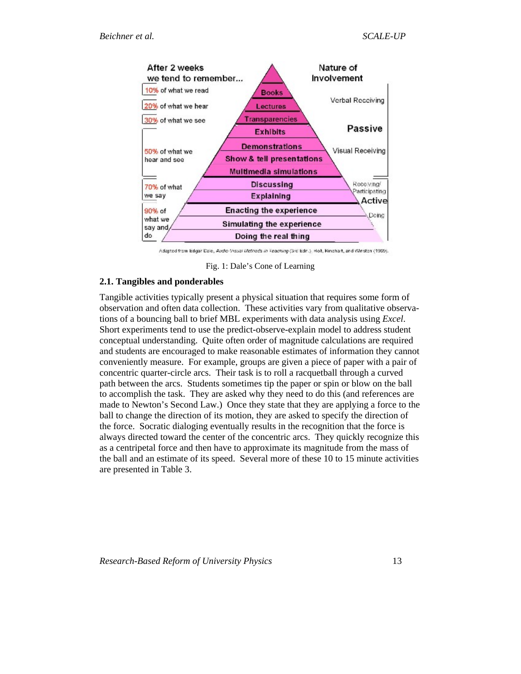<span id="page-12-0"></span>

Adapted from Edgar Dale, Audio-Visual Methods in Teaching (3rd Edn.), Hot, Rinchart, and Winston (1989).

Fig. 1: Dale's Cone of Learning

### **2.1. Tangibles and ponderables**

Tangible activities typically present a physical situation that requires some form of observation and often data collection. These activities vary from qualitative observations of a bouncing ball to brief MBL experiments with data analysis using *Excel*. Short experiments tend to use the predict-observe-explain model to address student conceptual understanding. Quite often order of magnitude calculations are required and students are encouraged to make reasonable estimates of information they cannot conveniently measure. For example, groups are given a piece of paper with a pair of concentric quarter-circle arcs. Their task is to roll a racquetball through a curved path between the arcs. Students sometimes tip the paper or spin or blow on the ball to accomplish the task. They are asked why they need to do this (and references are made to Newton's Second Law.) Once they state that they are applying a force to the ball to change the direction of its motion, they are asked to specify the direction of the force. Socratic dialoging eventually results in the recognition that the force is always directed toward the center of the concentric arcs. They quickly recognize this as a centripetal force and then have to approximate its magnitude from the mass of the ball and an estimate of its speed. Several more of these 10 to 15 minute activities are presented in Table 3.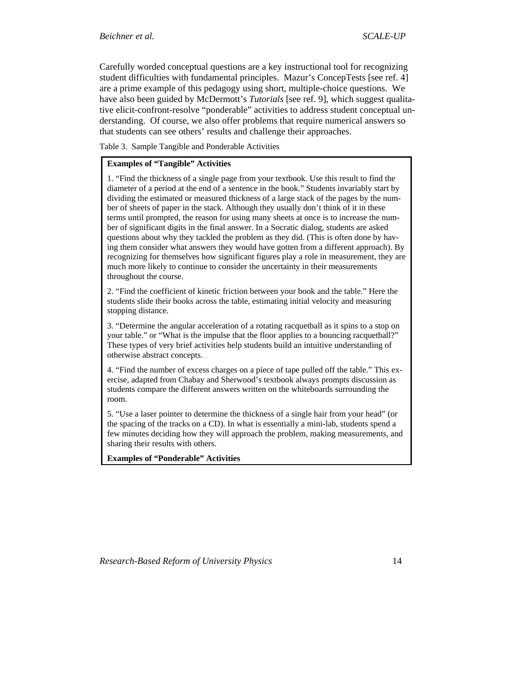Carefully worded conceptual questions are a key instructional tool for recognizing student difficulties with fundamental principles. Mazur's ConcepTests [see ref. 4] are a prime example of this pedagogy using short, multiple-choice questions. We have also been guided by McDermott's *Tutorials* [see ref. 9], which suggest qualitative elicit-confront-resolve "ponderable" activities to address student conceptual understanding. Of course, we also offer problems that require numerical answers so that students can see others' results and challenge their approaches.

Table 3. Sample Tangible and Ponderable Activities

#### **Examples of "Tangible" Activities**

1. "Find the thickness of a single page from your textbook. Use this result to find the diameter of a period at the end of a sentence in the book." Students invariably start by dividing the estimated or measured thickness of a large stack of the pages by the number of sheets of paper in the stack. Although they usually don't think of it in these terms until prompted, the reason for using many sheets at once is to increase the number of significant digits in the final answer. In a Socratic dialog, students are asked questions about why they tackled the problem as they did. (This is often done by having them consider what answers they would have gotten from a different approach). By recognizing for themselves how significant figures play a role in measurement, they are much more likely to continue to consider the uncertainty in their measurements throughout the course.

2. "Find the coefficient of kinetic friction between your book and the table." Here the students slide their books across the table, estimating initial velocity and measuring stopping distance.

3. "Determine the angular acceleration of a rotating racquetball as it spins to a stop on your table." or "What is the impulse that the floor applies to a bouncing racquetball?" These types of very brief activities help students build an intuitive understanding of otherwise abstract concepts.

4. "Find the number of excess charges on a piece of tape pulled off the table." This exercise, adapted from Chabay and Sherwood's textbook always prompts discussion as students compare the different answers written on the whiteboards surrounding the room.

5. "Use a laser pointer to determine the thickness of a single hair from your head" (or the spacing of the tracks on a CD). In what is essentially a mini-lab, students spend a few minutes deciding how they will approach the problem, making measurements, and sharing their results with others.

**Examples of "Ponderable" Activities**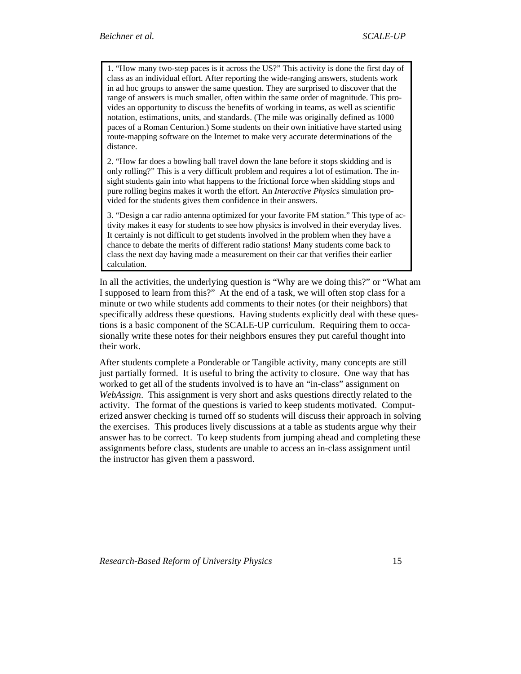1. "How many two-step paces is it across the US?" This activity is done the first day of class as an individual effort. After reporting the wide-ranging answers, students work in ad hoc groups to answer the same question. They are surprised to discover that the range of answers is much smaller, often within the same order of magnitude. This provides an opportunity to discuss the benefits of working in teams, as well as scientific notation, estimations, units, and standards. (The mile was originally defined as 1000 paces of a Roman Centurion.) Some students on their own initiative have started using route-mapping software on the Internet to make very accurate determinations of the distance.

2. "How far does a bowling ball travel down the lane before it stops skidding and is only rolling?" This is a very difficult problem and requires a lot of estimation. The insight students gain into what happens to the frictional force when skidding stops and pure rolling begins makes it worth the effort. An *Interactive Physics* simulation provided for the students gives them confidence in their answers.

3. "Design a car radio antenna optimized for your favorite FM station." This type of activity makes it easy for students to see how physics is involved in their everyday lives. It certainly is not difficult to get students involved in the problem when they have a chance to debate the merits of different radio stations! Many students come back to class the next day having made a measurement on their car that verifies their earlier calculation.

In all the activities, the underlying question is "Why are we doing this?" or "What am I supposed to learn from this?" At the end of a task, we will often stop class for a minute or two while students add comments to their notes (or their neighbors) that specifically address these questions. Having students explicitly deal with these questions is a basic component of the SCALE-UP curriculum. Requiring them to occasionally write these notes for their neighbors ensures they put careful thought into their work.

After students complete a Ponderable or Tangible activity, many concepts are still just partially formed. It is useful to bring the activity to closure. One way that has worked to get all of the students involved is to have an "in-class" assignment on *WebAssign*. This assignment is very short and asks questions directly related to the activity. The format of the questions is varied to keep students motivated. Computerized answer checking is turned off so students will discuss their approach in solving the exercises. This produces lively discussions at a table as students argue why their answer has to be correct. To keep students from jumping ahead and completing these assignments before class, students are unable to access an in-class assignment until the instructor has given them a password.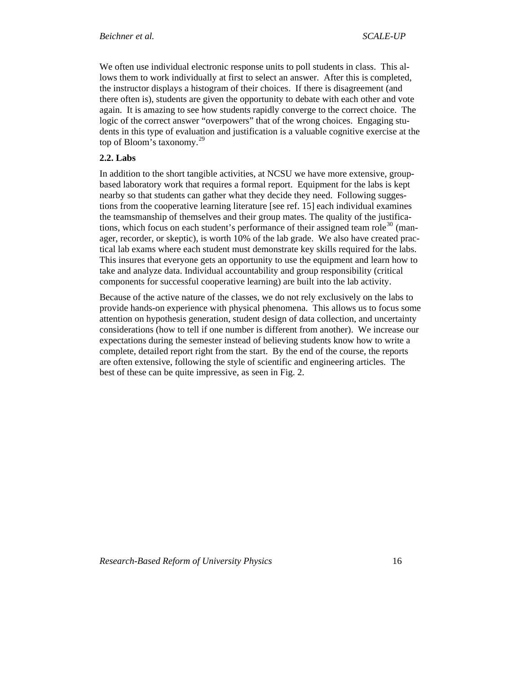<span id="page-15-0"></span>We often use individual electronic response units to poll students in class. This allows them to work individually at first to select an answer. After this is completed, the instructor displays a histogram of their choices. If there is disagreement (and there often is), students are given the opportunity to debate with each other and vote again. It is amazing to see how students rapidly converge to the correct choice. The logic of the correct answer "overpowers" that of the wrong choices. Engaging students in this type of evaluation and justification is a valuable cognitive exercise at the top of Bloom's taxonomy.[29](#page-41-1)

## **2.2. Labs**

In addition to the short tangible activities, at NCSU we have more extensive, groupbased laboratory work that requires a formal report. Equipment for the labs is kept nearby so that students can gather what they decide they need. Following suggestions from the cooperative learning literature [see ref. 15] each individual examines the teamsmanship of themselves and their group mates. The quality of the justifica-tions, which focus on each student's performance of their assigned team role<sup>[30](#page-41-1)</sup> (manager, recorder, or skeptic), is worth 10% of the lab grade. We also have created practical lab exams where each student must demonstrate key skills required for the labs. This insures that everyone gets an opportunity to use the equipment and learn how to take and analyze data. Individual accountability and group responsibility (critical components for successful cooperative learning) are built into the lab activity.

Because of the active nature of the classes, we do not rely exclusively on the labs to provide hands-on experience with physical phenomena. This allows us to focus some attention on hypothesis generation, student design of data collection, and uncertainty considerations (how to tell if one number is different from another). We increase our expectations during the semester instead of believing students know how to write a complete, detailed report right from the start. By the end of the course, the reports are often extensive, following the style of scientific and engineering articles. The best of these can be quite impressive, as seen in Fig. 2.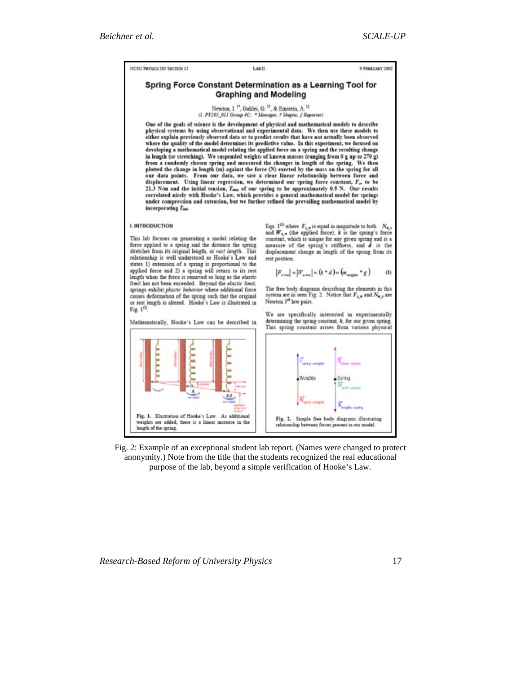NCSU PHYSICS 205 SECTION 11

LAB II

9 FEBRUARY 2002

#### Spring Force Constant Determination as a Learning Tool for **Graphing and Modeling**

# Newton, I.<sup>12</sup>, Galilei, G.<sup>17</sup>, & Einstein, A.<sup>17</sup><br>(1. PY205\_011 Group 4C: \* Manager, † Sheptic, † Reporter)

One of the goals of science is the development of physical and mathematical models to describe physical systems by using observational and experimental data. We then use these models to<br>either explain previously observed data or to predict results that have not actually been observed where the quality of the model determines its predictive value. In this experiment, we focused on developing a mathematical model relating the applied force on a spring and the resulting change in length (or stretching). We suspended weights of known masses (ranging from 0 g up to 270 g) from a randomly chosen spring and measured the changes in length of the spring. We then<br>plotted the change in length (m) against the force (N) exerted by the mass on the spring for all<br>our data points. From our data, we sa displacement. Using linear regression, we determined our spring force constant, F, to be 21.3 N/m and the initial tension, This, of our spring to be approximately 0.5 N. Our results correlated nicely with Hooke's Law, which provides a general mathematical model for springs<br>under compression and extension, but we further refined the prevailing mathematical model by incorporating Time

#### I. INTRODUCTION

This lab focuses on generating a model relating the<br>force applied to a spring and the distance the spring stretches from its original length, or rest length. This relationship is well understood as Hooke's Law and states 1) extension of a spring is proportional to the applied force and 2) a spring will return to its rest length when the force is removed so long as the elastic limit has not been exceeded. Beyond the elastic limit, springs exhibit plastic behavior where additional force causes deformation of the spring such that the original or rest length is altered. Hooke's Law is illustrated in Fig.  $1^{(1)}$ 

Mathematically, Hooke's Law can be described in

Eqn. 1<sup>(3)</sup> where  $F_{i,w}$  is equal in magnitude to both  $N_{w,i}$ and  $W_{e}$ . (the applied force), k is the spring's force constant, which is unique for any given spring and is a<br>measure of the spring's stiffness, and d is the displacement change in length of the spring from its rest position.

$$
|F_{x\to y}| = |W_{x\to y}| = (k * d) = (m_{\text{scalar}} * g)
$$
 (1)

The free body diagrams describing the elements in this system are in seen Fig. 2. Notice that  $F_{\xi,\mathbf{w}}$  and  $N_{\mathbf{w},s}$  are Newton 3<sup>nd</sup> law pairs.

We are specifically interested in experimentally determining the spring constant,  $k$ , for our given spring. This spring constant arises from various physical



Fig. 2: Example of an exceptional student lab report. (Names were changed to protect anonymity.) Note from the title that the students recognized the real educational purpose of the lab, beyond a simple verification of Hooke's Law.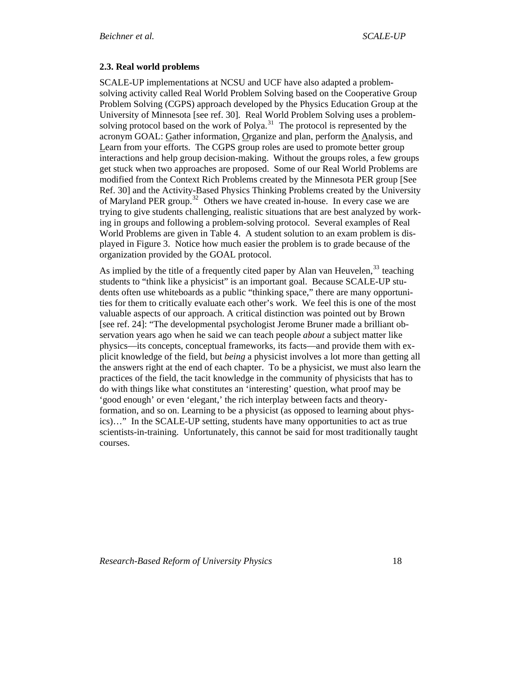### <span id="page-17-0"></span>**2.3. Real world problems**

SCALE-UP implementations at NCSU and UCF have also adapted a problemsolving activity called Real World Problem Solving based on the Cooperative Group Problem Solving (CGPS) approach developed by the Physics Education Group at the University of Minnesota [see ref. 30]. Real World Problem Solving uses a problem-solving protocol based on the work of Polya.<sup>[31](#page-41-1)</sup> The protocol is represented by the acronym GOAL: Gather information, Organize and plan, perform the Analysis, and Learn from your efforts. The CGPS group roles are used to promote better group interactions and help group decision-making. Without the groups roles, a few groups get stuck when two approaches are proposed. Some of our Real World Problems are modified from the Context Rich Problems created by the Minnesota PER group [See Ref. 30] and the Activity-Based Physics Thinking Problems created by the University of Maryland PER group.<sup>[32](#page-41-1)</sup> Others we have created in-house. In every case we are trying to give students challenging, realistic situations that are best analyzed by working in groups and following a problem-solving protocol. Several examples of Real World Problems are given in Table 4. A student solution to an exam problem is displayed in Figure 3. Notice how much easier the problem is to grade because of the organization provided by the GOAL protocol.

As implied by the title of a frequently cited paper by Alan van Heuvelen,  $33$  teaching students to "think like a physicist" is an important goal. Because SCALE-UP students often use whiteboards as a public "thinking space," there are many opportunities for them to critically evaluate each other's work. We feel this is one of the most valuable aspects of our approach. A critical distinction was pointed out by Brown [see ref. 24]: "The developmental psychologist Jerome Bruner made a brilliant observation years ago when he said we can teach people *about* a subject matter like physics—its concepts, conceptual frameworks, its facts—and provide them with explicit knowledge of the field, but *being* a physicist involves a lot more than getting all the answers right at the end of each chapter. To be a physicist, we must also learn the practices of the field, the tacit knowledge in the community of physicists that has to do with things like what constitutes an 'interesting' question, what proof may be 'good enough' or even 'elegant,' the rich interplay between facts and theoryformation, and so on. Learning to be a physicist (as opposed to learning about physics)…" In the SCALE-UP setting, students have many opportunities to act as true scientists-in-training. Unfortunately, this cannot be said for most traditionally taught courses.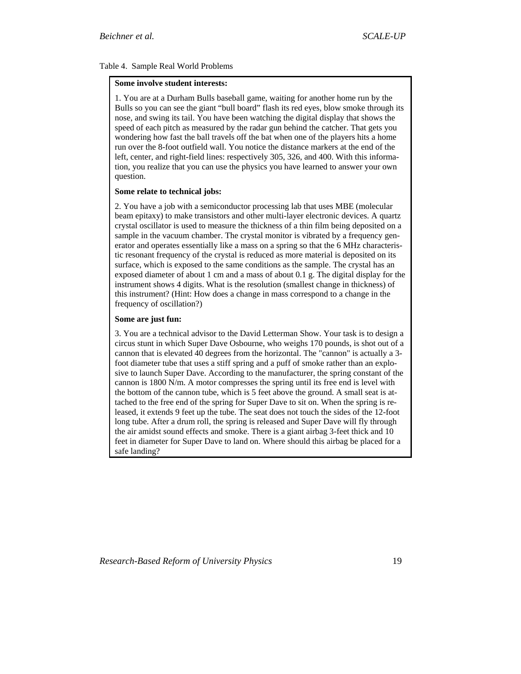#### Table 4. Sample Real World Problems

#### **Some involve student interests:**

1. You are at a Durham Bulls baseball game, waiting for another home run by the Bulls so you can see the giant "bull board" flash its red eyes, blow smoke through its nose, and swing its tail. You have been watching the digital display that shows the speed of each pitch as measured by the radar gun behind the catcher. That gets you wondering how fast the ball travels off the bat when one of the players hits a home run over the 8-foot outfield wall. You notice the distance markers at the end of the left, center, and right-field lines: respectively 305, 326, and 400. With this information, you realize that you can use the physics you have learned to answer your own question.

#### **Some relate to technical jobs:**

2. You have a job with a semiconductor processing lab that uses MBE (molecular beam epitaxy) to make transistors and other multi-layer electronic devices. A quartz crystal oscillator is used to measure the thickness of a thin film being deposited on a sample in the vacuum chamber. The crystal monitor is vibrated by a frequency generator and operates essentially like a mass on a spring so that the 6 MHz characteristic resonant frequency of the crystal is reduced as more material is deposited on its surface, which is exposed to the same conditions as the sample. The crystal has an exposed diameter of about 1 cm and a mass of about 0.1 g. The digital display for the instrument shows 4 digits. What is the resolution (smallest change in thickness) of this instrument? (Hint: How does a change in mass correspond to a change in the frequency of oscillation?)

#### **Some are just fun:**

3. You are a technical advisor to the David Letterman Show. Your task is to design a circus stunt in which Super Dave Osbourne, who weighs 170 pounds, is shot out of a cannon that is elevated 40 degrees from the horizontal. The "cannon" is actually a 3 foot diameter tube that uses a stiff spring and a puff of smoke rather than an explosive to launch Super Dave. According to the manufacturer, the spring constant of the cannon is 1800 N/m. A motor compresses the spring until its free end is level with the bottom of the cannon tube, which is 5 feet above the ground. A small seat is attached to the free end of the spring for Super Dave to sit on. When the spring is released, it extends 9 feet up the tube. The seat does not touch the sides of the 12-foot long tube. After a drum roll, the spring is released and Super Dave will fly through the air amidst sound effects and smoke. There is a giant airbag 3-feet thick and 10 feet in diameter for Super Dave to land on. Where should this airbag be placed for a safe landing?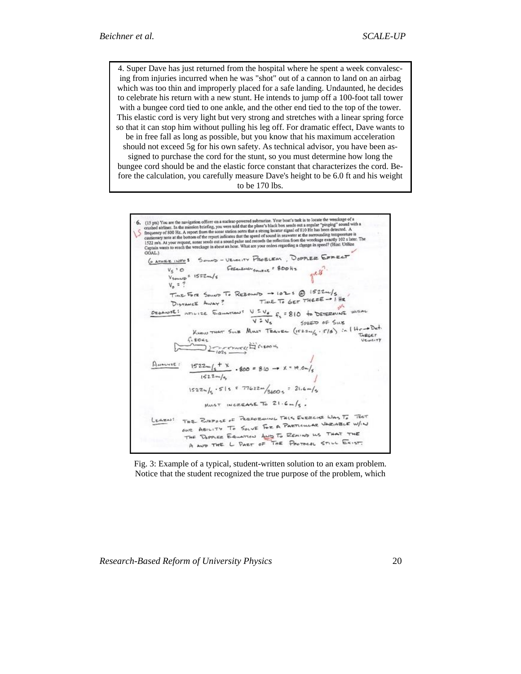4. Super Dave has just returned from the hospital where he spent a week convalescing from injuries incurred when he was "shot" out of a cannon to land on an airbag which was too thin and improperly placed for a safe landing. Undaunted, he decides to celebrate his return with a new stunt. He intends to jump off a 100-foot tall tower with a bungee cord tied to one ankle, and the other end tied to the top of the tower. This elastic cord is very light but very strong and stretches with a linear spring force so that it can stop him without pulling his leg off. For dramatic effect, Dave wants to be in free fall as long as possible, but you know that his maximum acceleration should not exceed 5g for his own safety. As technical advisor, you have been assigned to purchase the cord for the stunt, so you must determine how long the bungee cord should be and the elastic force constant that characterizes the cord. Before the calculation, you carefully measure Dave's height to be 6.0 ft and his weight to be 170 lbs.



Fig. 3: Example of a typical, student-written solution to an exam problem. Notice that the student recognized the true purpose of the problem, which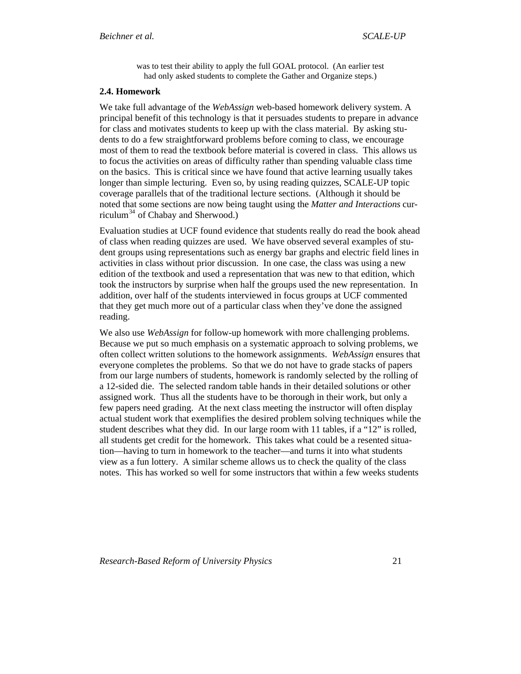was to test their ability to apply the full GOAL protocol. (An earlier test had only asked students to complete the Gather and Organize steps.)

#### <span id="page-20-0"></span>**2.4. Homework**

We take full advantage of the *WebAssign* web-based homework delivery system. A principal benefit of this technology is that it persuades students to prepare in advance for class and motivates students to keep up with the class material. By asking students to do a few straightforward problems before coming to class, we encourage most of them to read the textbook before material is covered in class. This allows us to focus the activities on areas of difficulty rather than spending valuable class time on the basics. This is critical since we have found that active learning usually takes longer than simple lecturing. Even so, by using reading quizzes, SCALE-UP topic coverage parallels that of the traditional lecture sections. (Although it should be noted that some sections are now being taught using the *Matter and Interactions* cur-riculum<sup>[34](#page-41-1)</sup> of Chabay and Sherwood.)

Evaluation studies at UCF found evidence that students really do read the book ahead of class when reading quizzes are used. We have observed several examples of student groups using representations such as energy bar graphs and electric field lines in activities in class without prior discussion. In one case, the class was using a new edition of the textbook and used a representation that was new to that edition, which took the instructors by surprise when half the groups used the new representation. In addition, over half of the students interviewed in focus groups at UCF commented that they get much more out of a particular class when they've done the assigned reading.

We also use *WebAssign* for follow-up homework with more challenging problems. Because we put so much emphasis on a systematic approach to solving problems, we often collect written solutions to the homework assignments. *WebAssign* ensures that everyone completes the problems. So that we do not have to grade stacks of papers from our large numbers of students, homework is randomly selected by the rolling of a 12-sided die. The selected random table hands in their detailed solutions or other assigned work. Thus all the students have to be thorough in their work, but only a few papers need grading. At the next class meeting the instructor will often display actual student work that exemplifies the desired problem solving techniques while the student describes what they did. In our large room with 11 tables, if a "12" is rolled, all students get credit for the homework. This takes what could be a resented situation—having to turn in homework to the teacher—and turns it into what students view as a fun lottery. A similar scheme allows us to check the quality of the class notes. This has worked so well for some instructors that within a few weeks students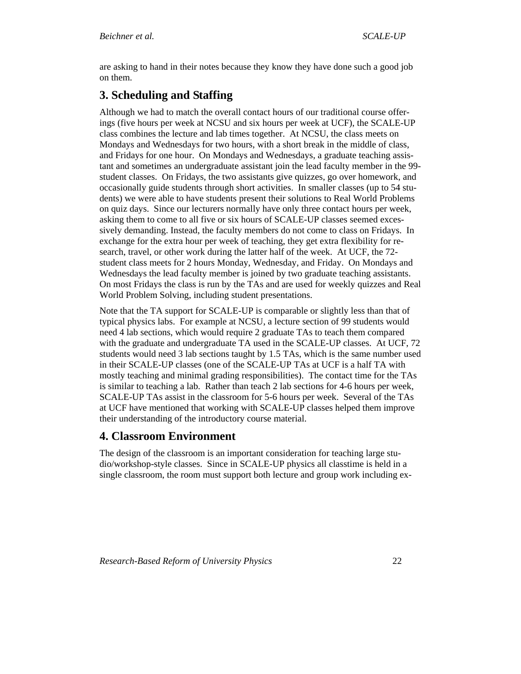<span id="page-21-0"></span>are asking to hand in their notes because they know they have done such a good job on them.

# **3. Scheduling and Staffing**

Although we had to match the overall contact hours of our traditional course offerings (five hours per week at NCSU and six hours per week at UCF), the SCALE-UP class combines the lecture and lab times together. At NCSU, the class meets on Mondays and Wednesdays for two hours, with a short break in the middle of class, and Fridays for one hour. On Mondays and Wednesdays, a graduate teaching assistant and sometimes an undergraduate assistant join the lead faculty member in the 99 student classes. On Fridays, the two assistants give quizzes, go over homework, and occasionally guide students through short activities. In smaller classes (up to 54 students) we were able to have students present their solutions to Real World Problems on quiz days. Since our lecturers normally have only three contact hours per week, asking them to come to all five or six hours of SCALE-UP classes seemed excessively demanding. Instead, the faculty members do not come to class on Fridays. In exchange for the extra hour per week of teaching, they get extra flexibility for research, travel, or other work during the latter half of the week. At UCF, the 72 student class meets for 2 hours Monday, Wednesday, and Friday. On Mondays and Wednesdays the lead faculty member is joined by two graduate teaching assistants. On most Fridays the class is run by the TAs and are used for weekly quizzes and Real World Problem Solving, including student presentations.

Note that the TA support for SCALE-UP is comparable or slightly less than that of typical physics labs. For example at NCSU, a lecture section of 99 students would need 4 lab sections, which would require 2 graduate TAs to teach them compared with the graduate and undergraduate TA used in the SCALE-UP classes. At UCF, 72 students would need 3 lab sections taught by 1.5 TAs, which is the same number used in their SCALE-UP classes (one of the SCALE-UP TAs at UCF is a half TA with mostly teaching and minimal grading responsibilities). The contact time for the TAs is similar to teaching a lab. Rather than teach 2 lab sections for 4-6 hours per week, SCALE-UP TAs assist in the classroom for 5-6 hours per week. Several of the TAs at UCF have mentioned that working with SCALE-UP classes helped them improve their understanding of the introductory course material.

# **4. Classroom Environment**

The design of the classroom is an important consideration for teaching large studio/workshop-style classes. Since in SCALE-UP physics all classtime is held in a single classroom, the room must support both lecture and group work including ex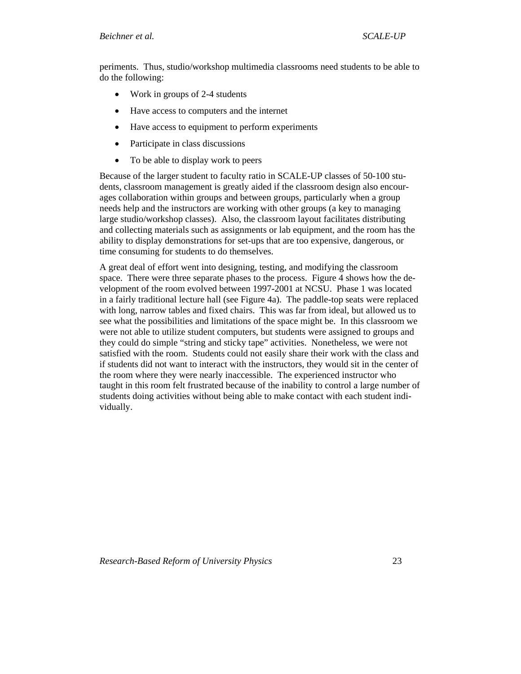periments. Thus, studio/workshop multimedia classrooms need students to be able to do the following:

- Work in groups of 2-4 students
- Have access to computers and the internet
- Have access to equipment to perform experiments
- Participate in class discussions
- To be able to display work to peers

Because of the larger student to faculty ratio in SCALE-UP classes of 50-100 students, classroom management is greatly aided if the classroom design also encourages collaboration within groups and between groups, particularly when a group needs help and the instructors are working with other groups (a key to managing large studio/workshop classes). Also, the classroom layout facilitates distributing and collecting materials such as assignments or lab equipment, and the room has the ability to display demonstrations for set-ups that are too expensive, dangerous, or time consuming for students to do themselves.

A great deal of effort went into designing, testing, and modifying the classroom space. There were three separate phases to the process. Figure 4 shows how the development of the room evolved between 1997-2001 at NCSU. Phase 1 was located in a fairly traditional lecture hall (see Figure 4a). The paddle-top seats were replaced with long, narrow tables and fixed chairs. This was far from ideal, but allowed us to see what the possibilities and limitations of the space might be. In this classroom we were not able to utilize student computers, but students were assigned to groups and they could do simple "string and sticky tape" activities. Nonetheless, we were not satisfied with the room. Students could not easily share their work with the class and if students did not want to interact with the instructors, they would sit in the center of the room where they were nearly inaccessible. The experienced instructor who taught in this room felt frustrated because of the inability to control a large number of students doing activities without being able to make contact with each student individually.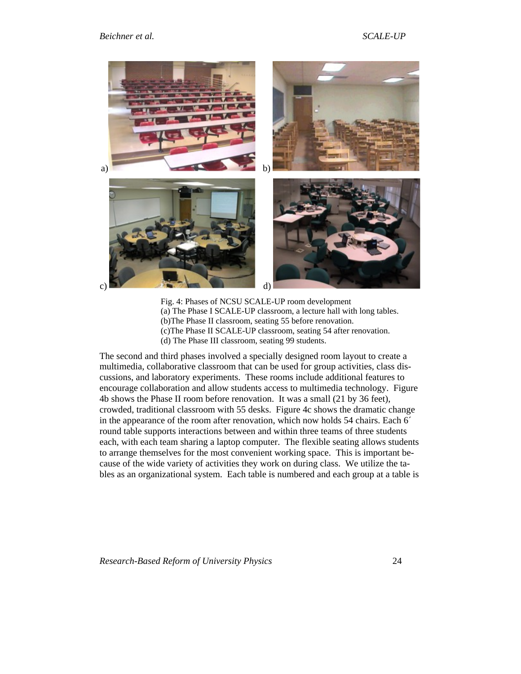#### *Beichner et al. SCALE-UP*



Fig. 4: Phases of NCSU SCALE-UP room development (a) The Phase I SCALE-UP classroom, a lecture hall with long tables. (b)The Phase II classroom, seating 55 before renovation. (c)The Phase II SCALE-UP classroom, seating 54 after renovation. (d) The Phase III classroom, seating 99 students.

The second and third phases involved a specially designed room layout to create a multimedia, collaborative classroom that can be used for group activities, class discussions, and laboratory experiments. These rooms include additional features to encourage collaboration and allow students access to multimedia technology. Figure 4b shows the Phase II room before renovation. It was a small (21 by 36 feet), crowded, traditional classroom with 55 desks. Figure 4c shows the dramatic change in the appearance of the room after renovation, which now holds 54 chairs. Each 6´ round table supports interactions between and within three teams of three students each, with each team sharing a laptop computer. The flexible seating allows students to arrange themselves for the most convenient working space. This is important because of the wide variety of activities they work on during class. We utilize the tables as an organizational system. Each table is numbered and each group at a table is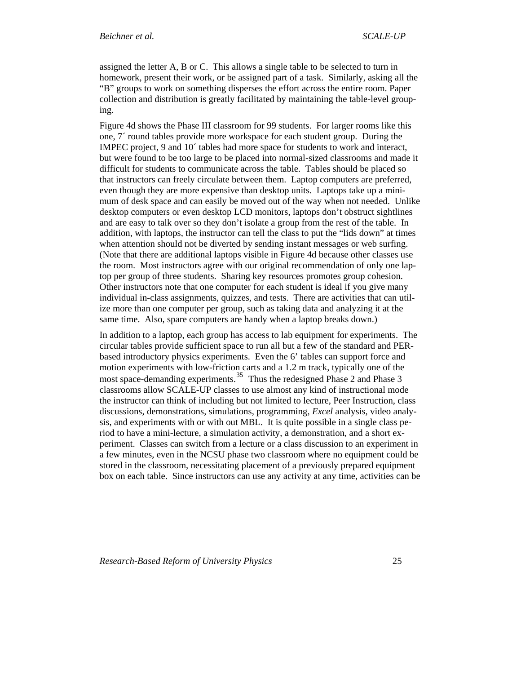assigned the letter A, B or C. This allows a single table to be selected to turn in homework, present their work, or be assigned part of a task. Similarly, asking all the "B" groups to work on something disperses the effort across the entire room. Paper collection and distribution is greatly facilitated by maintaining the table-level grouping.

Figure 4d shows the Phase III classroom for 99 students. For larger rooms like this one, 7´ round tables provide more workspace for each student group. During the IMPEC project, 9 and 10´ tables had more space for students to work and interact, but were found to be too large to be placed into normal-sized classrooms and made it difficult for students to communicate across the table. Tables should be placed so that instructors can freely circulate between them. Laptop computers are preferred, even though they are more expensive than desktop units. Laptops take up a minimum of desk space and can easily be moved out of the way when not needed. Unlike desktop computers or even desktop LCD monitors, laptops don't obstruct sightlines and are easy to talk over so they don't isolate a group from the rest of the table. In addition, with laptops, the instructor can tell the class to put the "lids down" at times when attention should not be diverted by sending instant messages or web surfing. (Note that there are additional laptops visible in Figure 4d because other classes use the room. Most instructors agree with our original recommendation of only one laptop per group of three students. Sharing key resources promotes group cohesion. Other instructors note that one computer for each student is ideal if you give many individual in-class assignments, quizzes, and tests. There are activities that can utilize more than one computer per group, such as taking data and analyzing it at the same time. Also, spare computers are handy when a laptop breaks down.)

In addition to a laptop, each group has access to lab equipment for experiments. The circular tables provide sufficient space to run all but a few of the standard and PERbased introductory physics experiments. Even the 6' tables can support force and motion experiments with low-friction carts and a 1.2 m track, typically one of the most space-demanding experiments.<sup>[35](#page-41-1)</sup> Thus the redesigned Phase 2 and Phase 3 classrooms allow SCALE-UP classes to use almost any kind of instructional mode the instructor can think of including but not limited to lecture, Peer Instruction, class discussions, demonstrations, simulations, programming, *Excel* analysis, video analysis, and experiments with or with out MBL. It is quite possible in a single class period to have a mini-lecture, a simulation activity, a demonstration, and a short experiment. Classes can switch from a lecture or a class discussion to an experiment in a few minutes, even in the NCSU phase two classroom where no equipment could be stored in the classroom, necessitating placement of a previously prepared equipment box on each table. Since instructors can use any activity at any time, activities can be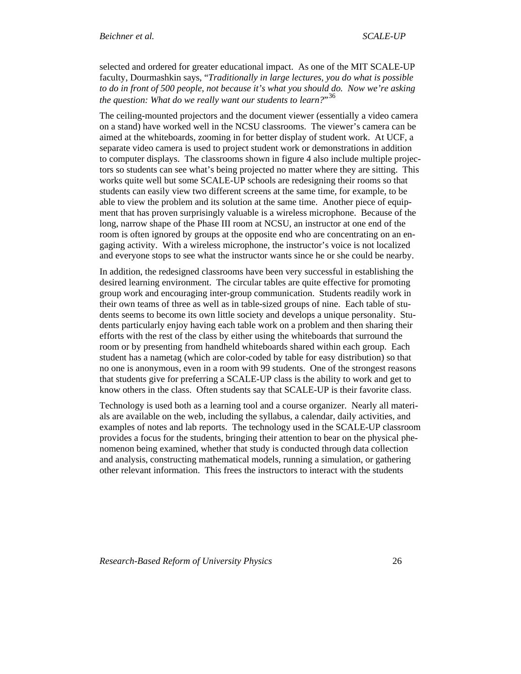selected and ordered for greater educational impact. As one of the MIT SCALE-UP faculty, Dourmashkin says, "*Traditionally in large lectures, you do what is possible to do in front of 500 people, not because it's what you should do. Now we're asking the question: What do we really want our students to learn?*" [36](#page-41-1)

The ceiling-mounted projectors and the document viewer (essentially a video camera on a stand) have worked well in the NCSU classrooms. The viewer's camera can be aimed at the whiteboards, zooming in for better display of student work. At UCF, a separate video camera is used to project student work or demonstrations in addition to computer displays. The classrooms shown in figure 4 also include multiple projectors so students can see what's being projected no matter where they are sitting. This works quite well but some SCALE-UP schools are redesigning their rooms so that students can easily view two different screens at the same time, for example, to be able to view the problem and its solution at the same time. Another piece of equipment that has proven surprisingly valuable is a wireless microphone. Because of the long, narrow shape of the Phase III room at NCSU, an instructor at one end of the room is often ignored by groups at the opposite end who are concentrating on an engaging activity. With a wireless microphone, the instructor's voice is not localized and everyone stops to see what the instructor wants since he or she could be nearby.

In addition, the redesigned classrooms have been very successful in establishing the desired learning environment. The circular tables are quite effective for promoting group work and encouraging inter-group communication. Students readily work in their own teams of three as well as in table-sized groups of nine. Each table of students seems to become its own little society and develops a unique personality. Students particularly enjoy having each table work on a problem and then sharing their efforts with the rest of the class by either using the whiteboards that surround the room or by presenting from handheld whiteboards shared within each group. Each student has a nametag (which are color-coded by table for easy distribution) so that no one is anonymous, even in a room with 99 students. One of the strongest reasons that students give for preferring a SCALE-UP class is the ability to work and get to know others in the class. Often students say that SCALE-UP is their favorite class.

Technology is used both as a learning tool and a course organizer. Nearly all materials are available on the web, including the syllabus, a calendar, daily activities, and examples of notes and lab reports. The technology used in the SCALE-UP classroom provides a focus for the students, bringing their attention to bear on the physical phenomenon being examined, whether that study is conducted through data collection and analysis, constructing mathematical models, running a simulation, or gathering other relevant information. This frees the instructors to interact with the students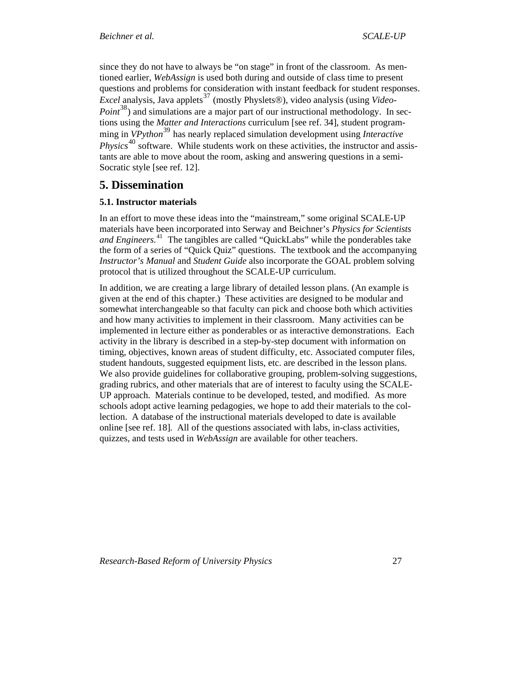<span id="page-26-0"></span>since they do not have to always be "on stage" in front of the classroom. As mentioned earlier, *WebAssign* is used both during and outside of class time to present questions and problems for consideration with instant feedback for student responses. *Excel* analysis, Java applets<sup>[37](#page-41-1)</sup> (mostly Physlets®), video analysis (using *Video-Point*<sup>[38](#page-41-1)</sup>) and simulations are a major part of our instructional methodology. In sections using the *Matter and Interactions* curriculum [see ref. 34], student programming in *VPython*<sup>[39](#page-41-1)</sup> has nearly replaced simulation development using *Interactive Physics*<sup>[40](#page-41-1)</sup> software. While students work on these activities, the instructor and assistants are able to move about the room, asking and answering questions in a semi-Socratic style [see ref. 12].

# **5. Dissemination**

### **5.1. Instructor materials**

In an effort to move these ideas into the "mainstream," some original SCALE-UP materials have been incorporated into Serway and Beichner's *Physics for Scientists and Engineers.*[41](#page-41-1) The tangibles are called "QuickLabs" while the ponderables take the form of a series of "Quick Quiz" questions. The textbook and the accompanying *Instructor's Manual* and *Student Guide* also incorporate the GOAL problem solving protocol that is utilized throughout the SCALE-UP curriculum.

In addition, we are creating a large library of detailed lesson plans. (An example is given at the end of this chapter.) These activities are designed to be modular and somewhat interchangeable so that faculty can pick and choose both which activities and how many activities to implement in their classroom. Many activities can be implemented in lecture either as ponderables or as interactive demonstrations. Each activity in the library is described in a step-by-step document with information on timing, objectives, known areas of student difficulty, etc. Associated computer files, student handouts, suggested equipment lists, etc. are described in the lesson plans. We also provide guidelines for collaborative grouping, problem-solving suggestions, grading rubrics, and other materials that are of interest to faculty using the SCALE-UP approach. Materials continue to be developed, tested, and modified. As more schools adopt active learning pedagogies, we hope to add their materials to the collection. A database of the instructional materials developed to date is available online [see ref. 18]. All of the questions associated with labs, in-class activities, quizzes, and tests used in *WebAssign* are available for other teachers.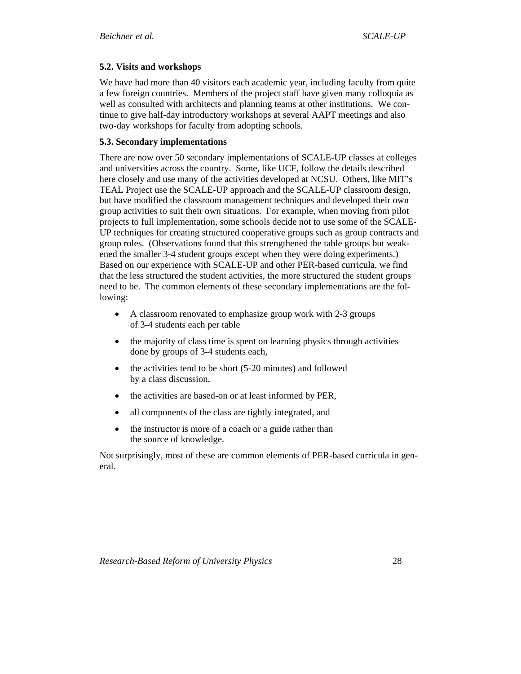## <span id="page-27-0"></span>**5.2. Visits and workshops**

We have had more than 40 visitors each academic year, including faculty from quite a few foreign countries. Members of the project staff have given many colloquia as well as consulted with architects and planning teams at other institutions. We continue to give half-day introductory workshops at several AAPT meetings and also two-day workshops for faculty from adopting schools.

## **5.3. Secondary implementations**

There are now over 50 secondary implementations of SCALE-UP classes at colleges and universities across the country. Some, like UCF, follow the details described here closely and use many of the activities developed at NCSU. Others, like MIT's TEAL Project use the SCALE-UP approach and the SCALE-UP classroom design, but have modified the classroom management techniques and developed their own group activities to suit their own situations. For example, when moving from pilot projects to full implementation, some schools decide not to use some of the SCALE-UP techniques for creating structured cooperative groups such as group contracts and group roles. (Observations found that this strengthened the table groups but weakened the smaller 3-4 student groups except when they were doing experiments.) Based on our experience with SCALE-UP and other PER-based curricula, we find that the less structured the student activities, the more structured the student groups need to be. The common elements of these secondary implementations are the following:

- A classroom renovated to emphasize group work with 2-3 groups of 3-4 students each per table
- the majority of class time is spent on learning physics through activities done by groups of 3-4 students each,
- the activities tend to be short (5-20 minutes) and followed by a class discussion,
- the activities are based-on or at least informed by PER,
- all components of the class are tightly integrated, and
- the instructor is more of a coach or a guide rather than the source of knowledge.

Not surprisingly, most of these are common elements of PER-based curricula in general.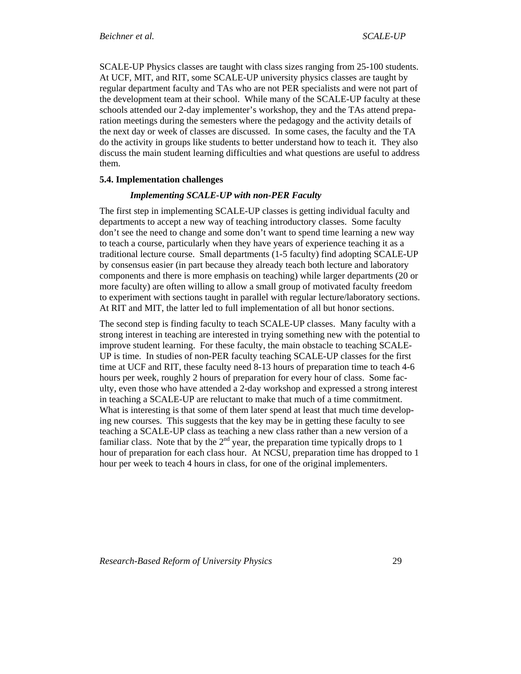<span id="page-28-0"></span>SCALE-UP Physics classes are taught with class sizes ranging from 25-100 students. At UCF, MIT, and RIT, some SCALE-UP university physics classes are taught by regular department faculty and TAs who are not PER specialists and were not part of the development team at their school. While many of the SCALE-UP faculty at these schools attended our 2-day implementer's workshop, they and the TAs attend preparation meetings during the semesters where the pedagogy and the activity details of the next day or week of classes are discussed. In some cases, the faculty and the TA do the activity in groups like students to better understand how to teach it. They also discuss the main student learning difficulties and what questions are useful to address them.

#### **5.4. Implementation challenges**

### *Implementing SCALE-UP with non-PER Faculty*

The first step in implementing SCALE-UP classes is getting individual faculty and departments to accept a new way of teaching introductory classes. Some faculty don't see the need to change and some don't want to spend time learning a new way to teach a course, particularly when they have years of experience teaching it as a traditional lecture course. Small departments (1-5 faculty) find adopting SCALE-UP by consensus easier (in part because they already teach both lecture and laboratory components and there is more emphasis on teaching) while larger departments (20 or more faculty) are often willing to allow a small group of motivated faculty freedom to experiment with sections taught in parallel with regular lecture/laboratory sections. At RIT and MIT, the latter led to full implementation of all but honor sections.

The second step is finding faculty to teach SCALE-UP classes. Many faculty with a strong interest in teaching are interested in trying something new with the potential to improve student learning. For these faculty, the main obstacle to teaching SCALE-UP is time. In studies of non-PER faculty teaching SCALE-UP classes for the first time at UCF and RIT, these faculty need 8-13 hours of preparation time to teach 4-6 hours per week, roughly 2 hours of preparation for every hour of class. Some faculty, even those who have attended a 2-day workshop and expressed a strong interest in teaching a SCALE-UP are reluctant to make that much of a time commitment. What is interesting is that some of them later spend at least that much time developing new courses. This suggests that the key may be in getting these faculty to see teaching a SCALE-UP class as teaching a new class rather than a new version of a familiar class. Note that by the  $2<sup>nd</sup>$  year, the preparation time typically drops to 1 hour of preparation for each class hour. At NCSU, preparation time has dropped to 1 hour per week to teach 4 hours in class, for one of the original implementers.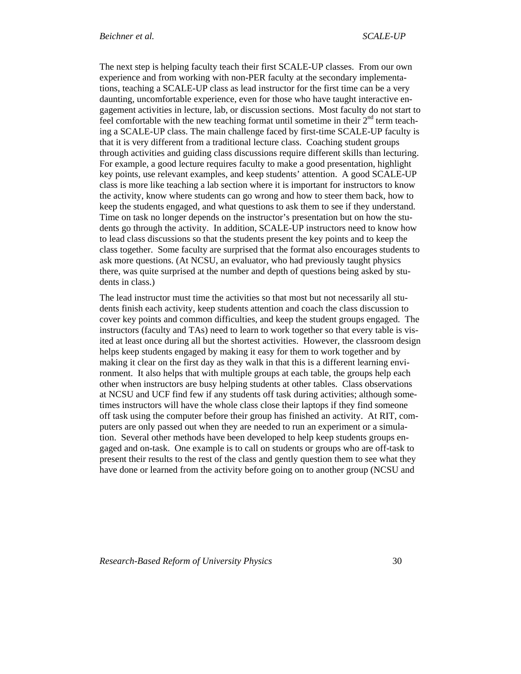The next step is helping faculty teach their first SCALE-UP classes. From our own experience and from working with non-PER faculty at the secondary implementations, teaching a SCALE-UP class as lead instructor for the first time can be a very daunting, uncomfortable experience, even for those who have taught interactive engagement activities in lecture, lab, or discussion sections. Most faculty do not start to feel comfortable with the new teaching format until sometime in their  $2<sup>nd</sup>$  term teaching a SCALE-UP class. The main challenge faced by first-time SCALE-UP faculty is that it is very different from a traditional lecture class. Coaching student groups through activities and guiding class discussions require different skills than lecturing. For example, a good lecture requires faculty to make a good presentation, highlight key points, use relevant examples, and keep students' attention. A good SCALE-UP class is more like teaching a lab section where it is important for instructors to know the activity, know where students can go wrong and how to steer them back, how to keep the students engaged, and what questions to ask them to see if they understand. Time on task no longer depends on the instructor's presentation but on how the students go through the activity. In addition, SCALE-UP instructors need to know how to lead class discussions so that the students present the key points and to keep the class together. Some faculty are surprised that the format also encourages students to ask more questions. (At NCSU, an evaluator, who had previously taught physics there, was quite surprised at the number and depth of questions being asked by students in class.)

The lead instructor must time the activities so that most but not necessarily all students finish each activity, keep students attention and coach the class discussion to cover key points and common difficulties, and keep the student groups engaged. The instructors (faculty and TAs) need to learn to work together so that every table is visited at least once during all but the shortest activities. However, the classroom design helps keep students engaged by making it easy for them to work together and by making it clear on the first day as they walk in that this is a different learning environment. It also helps that with multiple groups at each table, the groups help each other when instructors are busy helping students at other tables. Class observations at NCSU and UCF find few if any students off task during activities; although sometimes instructors will have the whole class close their laptops if they find someone off task using the computer before their group has finished an activity. At RIT, computers are only passed out when they are needed to run an experiment or a simulation. Several other methods have been developed to help keep students groups engaged and on-task. One example is to call on students or groups who are off-task to present their results to the rest of the class and gently question them to see what they have done or learned from the activity before going on to another group (NCSU and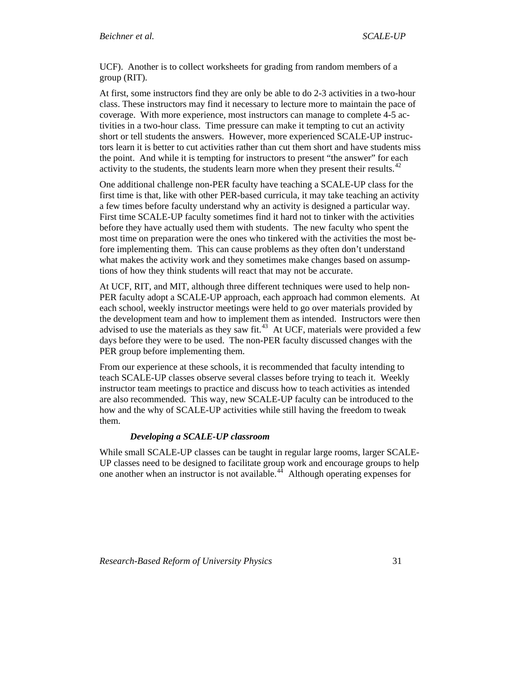<span id="page-30-0"></span>UCF). Another is to collect worksheets for grading from random members of a group (RIT).

At first, some instructors find they are only be able to do 2-3 activities in a two-hour class. These instructors may find it necessary to lecture more to maintain the pace of coverage. With more experience, most instructors can manage to complete 4-5 activities in a two-hour class. Time pressure can make it tempting to cut an activity short or tell students the answers. However, more experienced SCALE-UP instructors learn it is better to cut activities rather than cut them short and have students miss the point. And while it is tempting for instructors to present "the answer" for each activity to the students, the students learn more when they present their results. $42$ 

One additional challenge non-PER faculty have teaching a SCALE-UP class for the first time is that, like with other PER-based curricula, it may take teaching an activity a few times before faculty understand why an activity is designed a particular way. First time SCALE-UP faculty sometimes find it hard not to tinker with the activities before they have actually used them with students. The new faculty who spent the most time on preparation were the ones who tinkered with the activities the most before implementing them. This can cause problems as they often don't understand what makes the activity work and they sometimes make changes based on assumptions of how they think students will react that may not be accurate.

At UCF, RIT, and MIT, although three different techniques were used to help non-PER faculty adopt a SCALE-UP approach, each approach had common elements. At each school, weekly instructor meetings were held to go over materials provided by the development team and how to implement them as intended. Instructors were then advised to use the materials as they saw fit.<sup>[43](#page-41-1)</sup> At UCF, materials were provided a few days before they were to be used. The non-PER faculty discussed changes with the PER group before implementing them.

From our experience at these schools, it is recommended that faculty intending to teach SCALE-UP classes observe several classes before trying to teach it. Weekly instructor team meetings to practice and discuss how to teach activities as intended are also recommended. This way, new SCALE-UP faculty can be introduced to the how and the why of SCALE-UP activities while still having the freedom to tweak them.

### *Developing a SCALE-UP classroom*

While small SCALE-UP classes can be taught in regular large rooms, larger SCALE-UP classes need to be designed to facilitate group work and encourage groups to help one another when an instructor is not available.<sup>[44](#page-41-1)</sup> Although operating expenses for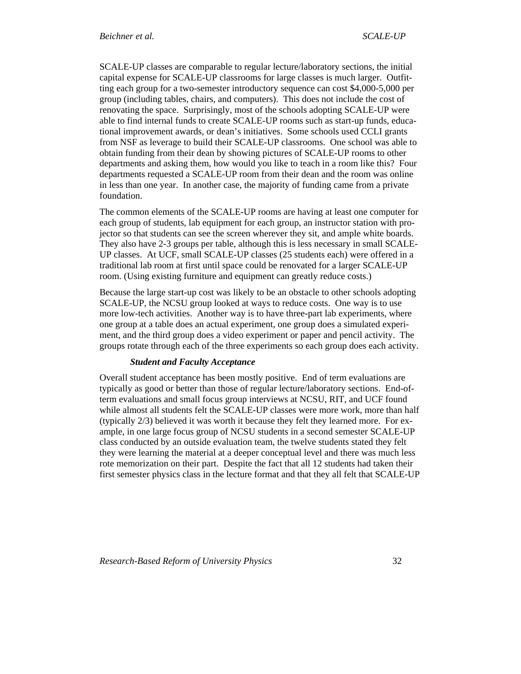<span id="page-31-0"></span>SCALE-UP classes are comparable to regular lecture/laboratory sections, the initial capital expense for SCALE-UP classrooms for large classes is much larger. Outfitting each group for a two-semester introductory sequence can cost \$4,000-5,000 per group (including tables, chairs, and computers). This does not include the cost of renovating the space. Surprisingly, most of the schools adopting SCALE-UP were able to find internal funds to create SCALE-UP rooms such as start-up funds, educational improvement awards, or dean's initiatives. Some schools used CCLI grants from NSF as leverage to build their SCALE-UP classrooms. One school was able to obtain funding from their dean by showing pictures of SCALE-UP rooms to other departments and asking them, how would you like to teach in a room like this? Four departments requested a SCALE-UP room from their dean and the room was online in less than one year. In another case, the majority of funding came from a private foundation.

The common elements of the SCALE-UP rooms are having at least one computer for each group of students, lab equipment for each group, an instructor station with projector so that students can see the screen wherever they sit, and ample white boards. They also have 2-3 groups per table, although this is less necessary in small SCALE-UP classes. At UCF, small SCALE-UP classes (25 students each) were offered in a traditional lab room at first until space could be renovated for a larger SCALE-UP room. (Using existing furniture and equipment can greatly reduce costs.)

Because the large start-up cost was likely to be an obstacle to other schools adopting SCALE-UP, the NCSU group looked at ways to reduce costs. One way is to use more low-tech activities. Another way is to have three-part lab experiments, where one group at a table does an actual experiment, one group does a simulated experiment, and the third group does a video experiment or paper and pencil activity. The groups rotate through each of the three experiments so each group does each activity.

### *Student and Faculty Acceptance*

Overall student acceptance has been mostly positive. End of term evaluations are typically as good or better than those of regular lecture/laboratory sections. End-ofterm evaluations and small focus group interviews at NCSU, RIT, and UCF found while almost all students felt the SCALE-UP classes were more work, more than half (typically 2/3) believed it was worth it because they felt they learned more. For example, in one large focus group of NCSU students in a second semester SCALE-UP class conducted by an outside evaluation team, the twelve students stated they felt they were learning the material at a deeper conceptual level and there was much less rote memorization on their part. Despite the fact that all 12 students had taken their first semester physics class in the lecture format and that they all felt that SCALE-UP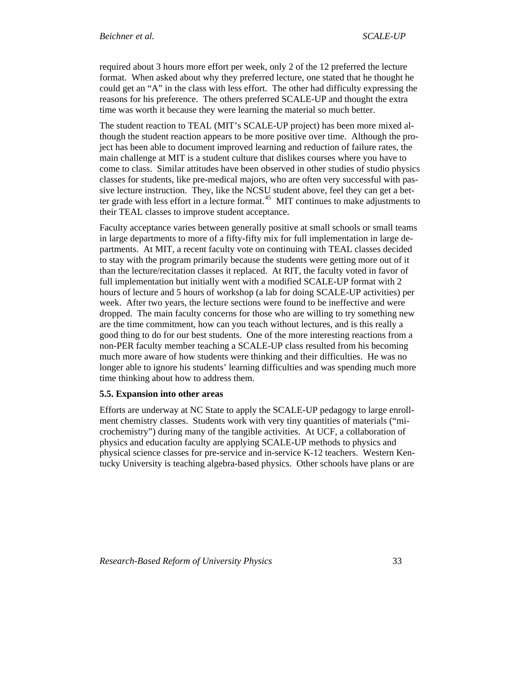<span id="page-32-0"></span>required about 3 hours more effort per week, only 2 of the 12 preferred the lecture format. When asked about why they preferred lecture, one stated that he thought he could get an "A" in the class with less effort. The other had difficulty expressing the reasons for his preference. The others preferred SCALE-UP and thought the extra time was worth it because they were learning the material so much better.

The student reaction to TEAL (MIT's SCALE-UP project) has been more mixed although the student reaction appears to be more positive over time. Although the project has been able to document improved learning and reduction of failure rates, the main challenge at MIT is a student culture that dislikes courses where you have to come to class. Similar attitudes have been observed in other studies of studio physics classes for students, like pre-medical majors, who are often very successful with passive lecture instruction. They, like the NCSU student above, feel they can get a bet-ter grade with less effort in a lecture format.<sup>[45](#page-41-1)</sup> MIT continues to make adjustments to their TEAL classes to improve student acceptance.

Faculty acceptance varies between generally positive at small schools or small teams in large departments to more of a fifty-fifty mix for full implementation in large departments. At MIT, a recent faculty vote on continuing with TEAL classes decided to stay with the program primarily because the students were getting more out of it than the lecture/recitation classes it replaced. At RIT, the faculty voted in favor of full implementation but initially went with a modified SCALE-UP format with 2 hours of lecture and 5 hours of workshop (a lab for doing SCALE-UP activities) per week. After two years, the lecture sections were found to be ineffective and were dropped. The main faculty concerns for those who are willing to try something new are the time commitment, how can you teach without lectures, and is this really a good thing to do for our best students. One of the more interesting reactions from a non-PER faculty member teaching a SCALE-UP class resulted from his becoming much more aware of how students were thinking and their difficulties. He was no longer able to ignore his students' learning difficulties and was spending much more time thinking about how to address them.

### **5.5. Expansion into other areas**

Efforts are underway at NC State to apply the SCALE-UP pedagogy to large enrollment chemistry classes. Students work with very tiny quantities of materials ("microchemistry") during many of the tangible activities. At UCF, a collaboration of physics and education faculty are applying SCALE-UP methods to physics and physical science classes for pre-service and in-service K-12 teachers. Western Kentucky University is teaching algebra-based physics. Other schools have plans or are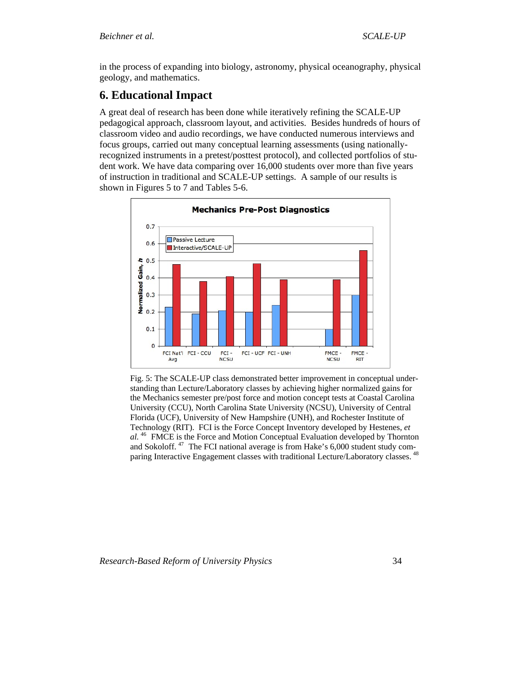<span id="page-33-0"></span>in the process of expanding into biology, astronomy, physical oceanography, physical geology, and mathematics.

# **6. Educational Impact**

A great deal of research has been done while iteratively refining the SCALE-UP pedagogical approach, classroom layout, and activities. Besides hundreds of hours of classroom video and audio recordings, we have conducted numerous interviews and focus groups, carried out many conceptual learning assessments (using nationallyrecognized instruments in a pretest/posttest protocol), and collected portfolios of student work. We have data comparing over 16,000 students over more than five years of instruction in traditional and SCALE-UP settings. A sample of our results is shown in Figures 5 to 7 and Tables 5-6.



Fig. 5: The SCALE-UP class demonstrated better improvement in conceptual understanding than Lecture/Laboratory classes by achieving higher normalized gains for the Mechanics semester pre/post force and motion concept tests at Coastal Carolina University (CCU), North Carolina State University (NCSU), University of Central Florida (UCF), University of New Hampshire (UNH), and Rochester Institute of Technology (RIT). FCI is the Force Concept Inventory developed by Hestenes, *et al.* [46](#page-41-1) FMCE is the Force and Motion Conceptual Evaluation developed by Thornton and Sokoloff.  $47$  The FCI national average is from Hake's 6,000 student study com-paring Interactive Engagement classes with traditional Lecture/Laboratory classes.<sup>[48](#page-41-1)</sup>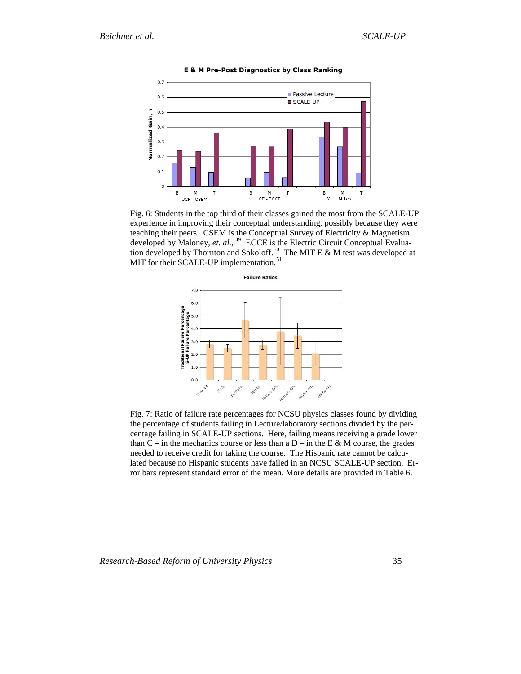

**E & M Pre-Post Diagnostics by Class Ranking** 

Fig. 6: Students in the top third of their classes gained the most from the SCALE-UP experience in improving their conceptual understanding, possibly because they were teaching their peers. CSEM is the Conceptual Survey of Electricity & Magnetism developed by Maloney, *et. al.,* [49](#page-41-1) ECCE is the Electric Circuit Conceptual Evalua-tion developed by Thornton and Sokoloff.<sup>[50](#page-41-1)</sup> The MIT E  $\&$  M test was developed at MIT for their SCALE-UP implementation.<sup>[51](#page-41-1)</sup>



Fig. 7: Ratio of failure rate percentages for NCSU physics classes found by dividing the percentage of students failing in Lecture/laboratory sections divided by the percentage failing in SCALE-UP sections. Here, failing means receiving a grade lower than  $C$  – in the mechanics course or less than a  $D$  – in the E & M course, the grades needed to receive credit for taking the course. The Hispanic rate cannot be calculated because no Hispanic students have failed in an NCSU SCALE-UP section. Error bars represent standard error of the mean. More details are provided in Table 6.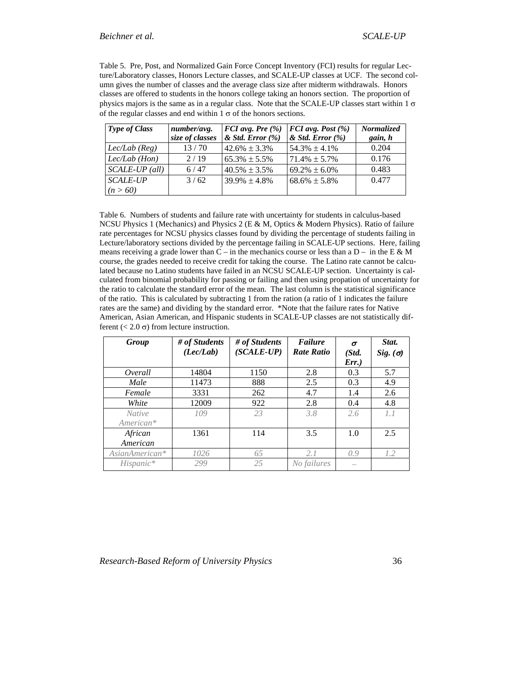Table 5. Pre, Post, and Normalized Gain Force Concept Inventory (FCI) results for regular Lecture/Laboratory classes, Honors Lecture classes, and SCALE-UP classes at UCF. The second column gives the number of classes and the average class size after midterm withdrawals. Honors classes are offered to students in the honors college taking an honors section. The proportion of physics majors is the same as in a regular class. Note that the SCALE-UP classes start within  $1 \sigma$ of the regular classes and end within  $1 \sigma$  of the honors sections.

| <b>Type of Class</b> | number/avg.     | $FCI$ avg. Pre $(\%)$ | $FCI$ avg. Post $(\%)$ | <b>Normalized</b> |
|----------------------|-----------------|-----------------------|------------------------|-------------------|
|                      | size of classes | $&$ Std. Error $(\%)$ | $\&$ Std. Error $(\%)$ | gain, h           |
| $Lec/Lab$ (Reg)      | 13/70           | $42.6\% \pm 3.3\%$    | $54.3\% \pm 4.1\%$     | 0.204             |
| $Lec/Lab$ (Hon)      | 2/19            | $65.3\% \pm 5.5\%$    | $71.4\% \pm 5.7\%$     | 0.176             |
| $SCALE-UP$ (all)     | 6/47            | $40.5\% \pm 3.5\%$    | $69.2\% \pm 6.0\%$     | 0.483             |
| <b>SCALE-UP</b>      | 3/62            | $39.9\% \pm 4.8\%$    | $68.6\% \pm 5.8\%$     | 0.477             |
| (n > 60)             |                 |                       |                        |                   |

Table 6. Numbers of students and failure rate with uncertainty for students in calculus-based NCSU Physics 1 (Mechanics) and Physics 2 (E & M, Optics & Modern Physics). Ratio of failure rate percentages for NCSU physics classes found by dividing the percentage of students failing in Lecture/laboratory sections divided by the percentage failing in SCALE-UP sections. Here, failing means receiving a grade lower than  $C$  – in the mechanics course or less than a  $D$  – in the E & M course, the grades needed to receive credit for taking the course. The Latino rate cannot be calculated because no Latino students have failed in an NCSU SCALE-UP section. Uncertainty is calculated from binomial probability for passing or failing and then using propation of uncertainty for the ratio to calculate the standard error of the mean. The last column is the statistical significance of the ratio. This is calculated by subtracting 1 from the ration (a ratio of 1 indicates the failure rates are the same) and dividing by the standard error. \*Note that the failure rates for Native American, Asian American, and Hispanic students in SCALE-UP classes are not statistically different ( $\lt$  2.0  $\sigma$ ) from lecture instruction.

| Group                      | # of Students<br>(Lec/Lab) | # of Students<br>$(SCALE-UP)$ | <b>Failure</b><br><b>Rate Ratio</b> | $\sigma$<br>(Std.<br>$Err.$ ) | Stat.<br>Sig. $(\sigma)$ |
|----------------------------|----------------------------|-------------------------------|-------------------------------------|-------------------------------|--------------------------|
| Overall                    | 14804                      | 1150                          | 2.8                                 | 0.3                           | 5.7                      |
| Male                       | 11473                      | 888                           | 2.5                                 | 0.3                           | 4.9                      |
| Female                     | 3331                       | 262                           | 4.7                                 | 1.4                           | 2.6                      |
| White                      | 12009                      | 922                           | 2.8                                 | 0.4                           | 4.8                      |
| <i>Native</i><br>American* | 109                        | 23                            | 3.8                                 | 2.6                           | 1.1                      |
| African<br>American        | 1361                       | 114                           | 3.5                                 | 1.0                           | 2.5                      |
| AsianAmerican*             | 1026                       | 65                            | 2.1                                 | 0.9                           | 1.2                      |
| Hispanic*                  | 299                        | 25                            | No failures                         |                               |                          |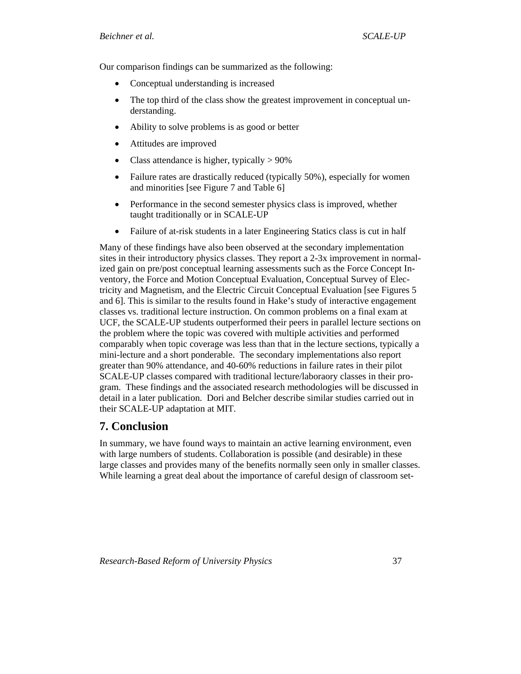<span id="page-36-0"></span>Our comparison findings can be summarized as the following:

- Conceptual understanding is increased
- The top third of the class show the greatest improvement in conceptual understanding.
- Ability to solve problems is as good or better
- Attitudes are improved
- Class attendance is higher, typically  $> 90\%$
- Failure rates are drastically reduced (typically 50%), especially for women and minorities [see Figure 7 and Table 6]
- Performance in the second semester physics class is improved, whether taught traditionally or in SCALE-UP
- Failure of at-risk students in a later Engineering Statics class is cut in half

Many of these findings have also been observed at the secondary implementation sites in their introductory physics classes. They report a 2-3x improvement in normalized gain on pre/post conceptual learning assessments such as the Force Concept Inventory, the Force and Motion Conceptual Evaluation, Conceptual Survey of Electricity and Magnetism, and the Electric Circuit Conceptual Evaluation [see Figures 5 and 6]. This is similar to the results found in Hake's study of interactive engagement classes vs. traditional lecture instruction. On common problems on a final exam at UCF, the SCALE-UP students outperformed their peers in parallel lecture sections on the problem where the topic was covered with multiple activities and performed comparably when topic coverage was less than that in the lecture sections, typically a mini-lecture and a short ponderable. The secondary implementations also report greater than 90% attendance, and 40-60% reductions in failure rates in their pilot SCALE-UP classes compared with traditional lecture/laboraory classes in their program. These findings and the associated research methodologies will be discussed in detail in a later publication. Dori and Belcher describe similar studies carried out in their SCALE-UP adaptation at MIT.

# **7. Conclusion**

In summary, we have found ways to maintain an active learning environment, even with large numbers of students. Collaboration is possible (and desirable) in these large classes and provides many of the benefits normally seen only in smaller classes. While learning a great deal about the importance of careful design of classroom set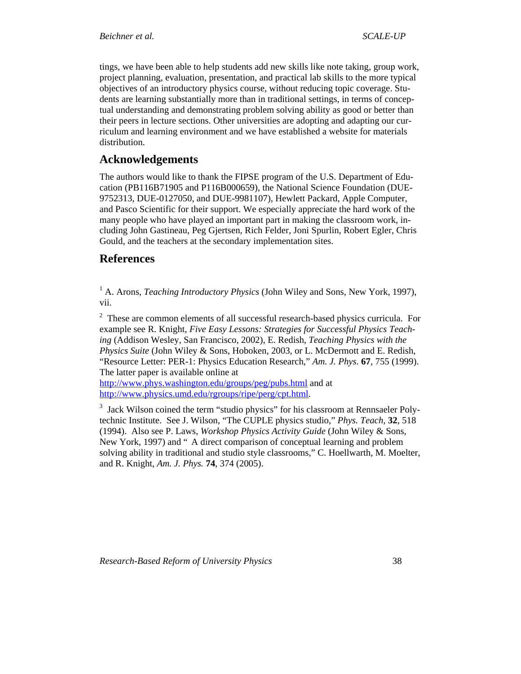<span id="page-37-0"></span>tings, we have been able to help students add new skills like note taking, group work, project planning, evaluation, presentation, and practical lab skills to the more typical objectives of an introductory physics course, without reducing topic coverage. Students are learning substantially more than in traditional settings, in terms of conceptual understanding and demonstrating problem solving ability as good or better than their peers in lecture sections. Other universities are adopting and adapting our curriculum and learning environment and we have established a website for materials distribution.

# **Acknowledgements**

The authors would like to thank the FIPSE program of the U.S. Department of Education (PB116B71905 and P116B000659), the National Science Foundation (DUE-9752313, DUE-0127050, and DUE-9981107), Hewlett Packard, Apple Computer, and Pasco Scientific for their support. We especially appreciate the hard work of the many people who have played an important part in making the classroom work, including John Gastineau, Peg Gjertsen, Rich Felder, Joni Spurlin, Robert Egler, Chris Gould, and the teachers at the secondary implementation sites.

# **References**

<sup>1</sup> A. Arons, *Teaching Introductory Physics* (John Wiley and Sons, New York, 1997), vii.

<sup>2</sup> These are common elements of all successful research-based physics curricula. For example see R. Knight, *Five Easy Lessons: Strategies for Successful Physics Teaching* (Addison Wesley, San Francisco, 2002), E. Redish, *Teaching Physics with the Physics Suite* (John Wiley & Sons, Hoboken, 2003, or L. McDermott and E. Redish, "Resource Letter: PER-1: Physics Education Research," *Am. J. Phys*. **67**, 755 (1999). The latter paper is available online at

<http://www.phys.washington.edu/groups/peg/pubs.html>and at [http://www.physics.umd.edu/rgroups/ripe/perg/cpt.html.](http://www.physics.umd.edu/rgroups/ripe/perg/cpt.html)

<sup>3</sup> Jack Wilson coined the term "studio physics" for his classroom at Rennsaeler Polytechnic Institute. See J. Wilson, "The CUPLE physics studio," *Phys. Teach,* **32**, 518 (1994). Also see P. Laws, *Workshop Physics Activity Guide* (John Wiley & Sons, New York, 1997) and " A direct comparison of conceptual learning and problem solving ability in traditional and studio style classrooms," C. Hoellwarth, M. Moelter, and R. Knight, *Am. J. Phys.* **74**, 374 (2005).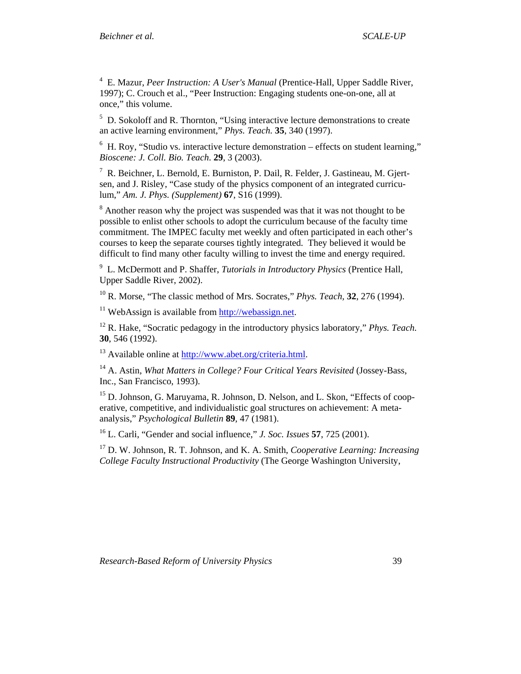4 E. Mazur, *Peer Instruction: A User's Manual* (Prentice-Hall, Upper Saddle River, 1997); C. Crouch et al., "Peer Instruction: Engaging students one-on-one, all at once," this volume.

<sup>5</sup> D. Sokoloff and R. Thornton, "Using interactive lecture demonstrations to create an active learning environment," *Phys. Teach.* **35**, 340 (1997).

 $6$  H. Roy, "Studio vs. interactive lecture demonstration – effects on student learning," *Bioscene: J. Coll. Bio. Teach*. **29**, 3 (2003).

<sup>7</sup> R. Beichner, L. Bernold, E. Burniston, P. Dail, R. Felder, J. Gastineau, M. Gjertsen, and J. Risley, "Case study of the physics component of an integrated curriculum," *Am. J. Phys. (Supplement)* **67**, S16 (1999).

 $8$  Another reason why the project was suspended was that it was not thought to be possible to enlist other schools to adopt the curriculum because of the faculty time commitment. The IMPEC faculty met weekly and often participated in each other's courses to keep the separate courses tightly integrated. They believed it would be difficult to find many other faculty willing to invest the time and energy required.

9 L. McDermott and P. Shaffer, *Tutorials in Introductory Physics* (Prentice Hall, Upper Saddle River, 2002).

10 R. Morse, "The classic method of Mrs. Socrates," *Phys. Teach,* **32**, 276 (1994).

 $11$  WebAssign is available from [http://webassign.net.](http://webassign.net)

12 R. Hake, "Socratic pedagogy in the introductory physics laboratory," *Phys. Teach.* **30**, 546 (1992).

13 Available online at<http://www.abet.org/criteria.html>.

14 A. Astin, *What Matters in College? Four Critical Years Revisited* (Jossey-Bass, Inc., San Francisco, 1993).

<sup>15</sup> D. Johnson, G. Maruyama, R. Johnson, D. Nelson, and L. Skon, "Effects of cooperative, competitive, and individualistic goal structures on achievement: A metaanalysis," *Psychological Bulletin* **89**, 47 (1981).

16 L. Carli, "Gender and social influence," *J. Soc. Issues* **57**, 725 (2001).

17 D. W. Johnson, R. T. Johnson, and K. A. Smith, *Cooperative Learning: Increasing College Faculty Instructional Productivity* (The George Washington University,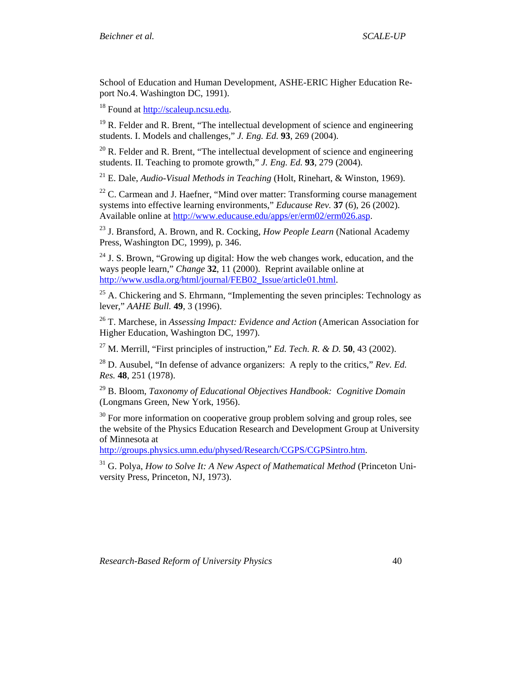School of Education and Human Development, ASHE-ERIC Higher Education Report No.4. Washington DC, 1991).

18 Found at<http://scaleup.ncsu.edu>.

 $19$  R. Felder and R. Brent, "The intellectual development of science and engineering students. I. Models and challenges," *J. Eng. Ed.* **93**, 269 (2004).

 $^{20}$  R. Felder and R. Brent, "The intellectual development of science and engineering students. II. Teaching to promote growth," *J. Eng. Ed.* **93**, 279 (2004).

21 E. Dale, *Audio-Visual Methods in Teaching* (Holt, Rinehart, & Winston, 1969).

 $22$  C. Carmean and J. Haefner, "Mind over matter: Transforming course management systems into effective learning environments," *Educause Rev.* **37** (6), 26 (2002). Available online at<http://www.educause.edu/apps/er/erm02/erm026.asp>.

23 J. Bransford, A. Brown, and R. Cocking, *How People Learn* (National Academy Press, Washington DC, 1999), p. 346.

 $24$  J. S. Brown, "Growing up digital: How the web changes work, education, and the ways people learn," *Change* **32**, 11 (2000). Reprint available online at [http://www.usdla.org/html/journal/FEB02\\_Issue/article01.html.](http://www.usdla.org/html/journal/FEB02_Issue/article01.html)

 $25$  A. Chickering and S. Ehrmann, "Implementing the seven principles: Technology as lever," *AAHE Bull.* **49**, 3 (1996).

26 T. Marchese, in *Assessing Impact: Evidence and Action* (American Association for Higher Education, Washington DC, 1997).

27 M. Merrill, "First principles of instruction," *Ed. Tech. R. & D.* **50**, 43 (2002).

28 D. Ausubel, "In defense of advance organizers: A reply to the critics," *Rev. Ed. Res.* **48**, 251 (1978).

29 B. Bloom, *Taxonomy of Educational Objectives Handbook: Cognitive Domain* (Longmans Green, New York, 1956).

 $30$  For more information on cooperative group problem solving and group roles, see the website of the Physics Education Research and Development Group at University of Minnesota at

<http://groups.physics.umn.edu/physed/Research/CGPS/CGPSintro.htm>.

31 G. Polya, *How to Solve It: A New Aspect of Mathematical Method* (Princeton University Press, Princeton, NJ, 1973).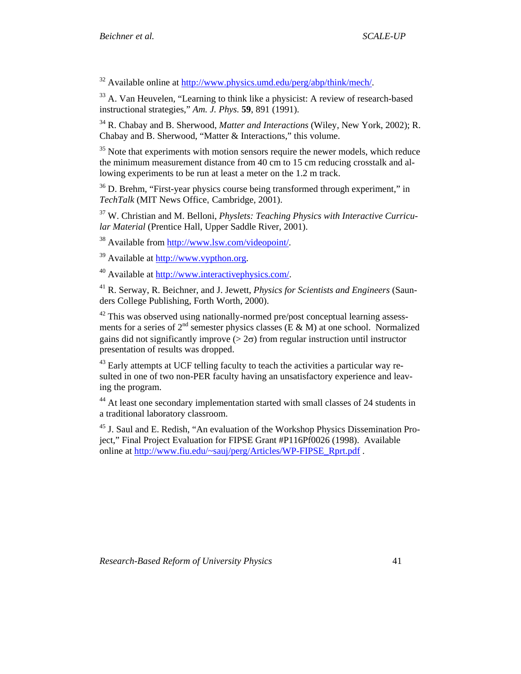$32$  Available online at<http://www.physics.umd.edu/perg/abp/think/mech/>.

33 A. Van Heuvelen, "Learning to think like a physicist: A review of research-based instructional strategies," *Am. J. Phys.* **59**, 891 (1991).

34 R. Chabay and B. Sherwood, *Matter and Interactions* (Wiley, New York, 2002); R. Chabay and B. Sherwood, "Matter & Interactions," this volume.

<sup>35</sup> Note that experiments with motion sensors require the newer models, which reduce the minimum measurement distance from 40 cm to 15 cm reducing crosstalk and allowing experiments to be run at least a meter on the 1.2 m track.

<sup>36</sup> D. Brehm, "First-year physics course being transformed through experiment," in *TechTalk* (MIT News Office, Cambridge, 2001).

37 W. Christian and M. Belloni, *Physlets: Teaching Physics with Interactive Curricular Material* (Prentice Hall, Upper Saddle River, 2001).

38 Available from [http://www.lsw.com/videopoint/.](http://www.lsw.com/videopoint/)

39 Available at <http://www.vypthon.org>.

40 Available at <http://www.interactivephysics.com/>.

41 R. Serway, R. Beichner, and J. Jewett, *Physics for Scientists and Engineers* (Saunders College Publishing, Forth Worth, 2000).

 $42$  This was observed using nationally-normed pre/post conceptual learning assessments for a series of  $2^{nd}$  semester physics classes (E & M) at one school. Normalized gains did not significantly improve ( $> 2\sigma$ ) from regular instruction until instructor presentation of results was dropped.

<sup>43</sup> Early attempts at UCF telling faculty to teach the activities a particular way resulted in one of two non-PER faculty having an unsatisfactory experience and leaving the program.

<sup>44</sup> At least one secondary implementation started with small classes of 24 students in a traditional laboratory classroom.

<sup>45</sup> J. Saul and E. Redish, "An evaluation of the Workshop Physics Dissemination Project," Final Project Evaluation for FIPSE Grant #P116Pf0026 (1998). Available online at [http://www.fiu.edu/~sauj/perg/Articles/WP-FIPSE\\_Rprt.pdf](http://www.fiu.edu/%7Esauj/perg/Articles/WP-FIPSE_Rprt.pdf) .